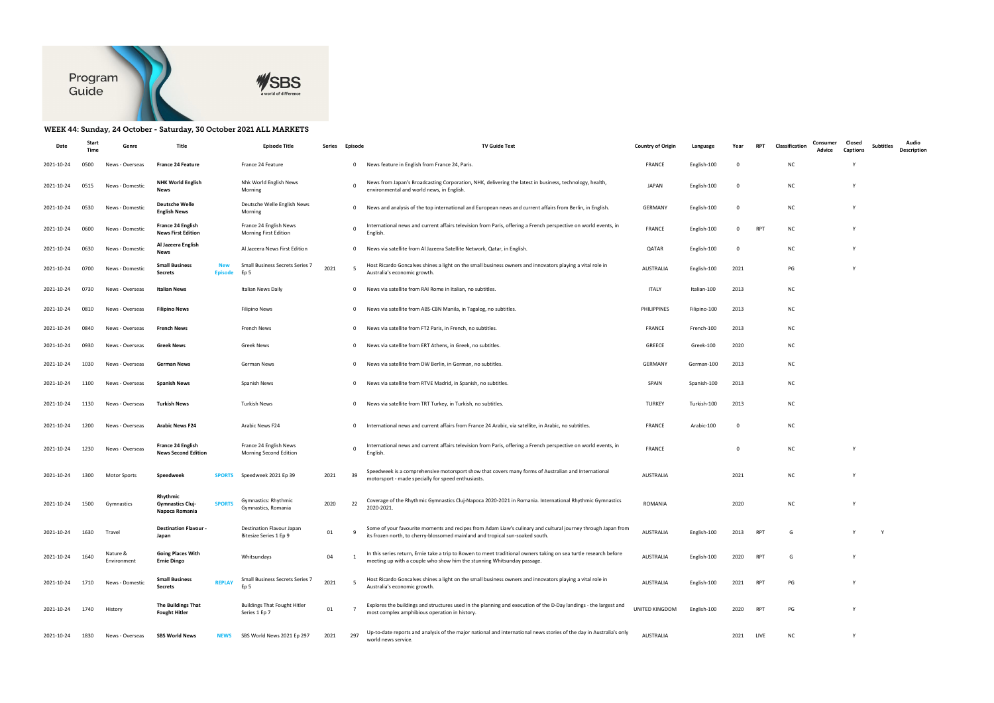



## WEEK 44: Sunday, 24 October - Saturday, 30 October 2021 ALL MARKETS

| Date       | Starl | Genre                   | Title                                                                  | <b>Episode Title</b>                                 | Series | Episode        | <b>TV Guide Text</b>                                                                                                                                                                          | <b>Country of Origin</b> | Language     | Year        | <b>RPT</b> | Classification | Closed<br>Consumer<br>Captions<br>Advice | <b>Subtitles</b> | Audio<br>Description |
|------------|-------|-------------------------|------------------------------------------------------------------------|------------------------------------------------------|--------|----------------|-----------------------------------------------------------------------------------------------------------------------------------------------------------------------------------------------|--------------------------|--------------|-------------|------------|----------------|------------------------------------------|------------------|----------------------|
| 2021-10-24 | 0500  | News - Overseas         | <b>France 24 Feature</b>                                               | France 24 Feature                                    |        | $\mathbf{0}$   | News feature in English from France 24, Paris.                                                                                                                                                | <b>FRANCE</b>            | English-100  | - 0         |            | <b>NC</b>      |                                          |                  |                      |
| 2021-10-24 | 0515  | News - Domestic         | <b>NHK World English</b><br>News                                       | Nhk World English News<br>Morning                    |        | $\mathbf 0$    | News from Japan's Broadcasting Corporation, NHK, delivering the latest in business, technology, health,<br>environmental and world news, in English.                                          | <b>JAPAN</b>             | English-100  | $\mathbf 0$ |            | <b>NC</b>      | Y                                        |                  |                      |
| 2021-10-24 | 0530  | News - Domestic         | <b>Deutsche Welle</b><br><b>English News</b>                           | Deutsche Welle English News<br>Morning               |        | $\mathbf{0}$   | News and analysis of the top international and European news and current affairs from Berlin, in English.                                                                                     | <b>GERMANY</b>           | English-100  | - 0         |            | <b>NC</b>      |                                          |                  |                      |
| 2021-10-24 | 0600  | News - Domestic         | <b>France 24 English</b><br><b>News First Edition</b>                  | France 24 English News<br>Morning First Edition      |        | 0              | International news and current affairs television from Paris, offering a French perspective on world events, in<br>English                                                                    | <b>FRANCE</b>            | English-100  | 0           | <b>RPT</b> | NC             |                                          |                  |                      |
| 2021-10-24 | 0630  | News - Domestic         | Al Jazeera English<br>News                                             | Al Jazeera News First Edition                        |        | 0              | News via satellite from Al Jazeera Satellite Network, Qatar, in English.                                                                                                                      | QATAR                    | English-100  | - 0         |            | NC.            | Y                                        |                  |                      |
| 2021-10-24 | 0700  | News - Domestic         | <b>Small Business</b><br><b>Secrets</b><br><b>Episode</b>              | Small Business Secrets Series 7<br>Ep 5              | 2021   | 5              | Host Ricardo Goncalves shines a light on the small business owners and innovators playing a vital role in<br>Australia's economic growth.                                                     | AUSTRALIA                | English-100  | 2021        |            | PG             | Y                                        |                  |                      |
| 2021-10-24 | 0730  | News - Overseas         | Italian News                                                           | Italian News Daily                                   |        | $\mathbf 0$    | News via satellite from RAI Rome in Italian, no subtitles.                                                                                                                                    | ITALY                    | Italian-100  | 2013        |            | <b>NC</b>      |                                          |                  |                      |
| 2021-10-24 | 0810  | News - Overseas         | <b>Filipino News</b>                                                   | <b>Filipino News</b>                                 |        | $\mathbf 0$    | News via satellite from ABS-CBN Manila, in Tagalog, no subtitles.                                                                                                                             | PHILIPPINES              | Filipino-100 | 2013        |            | <b>NC</b>      |                                          |                  |                      |
| 2021-10-24 | 0840  | News - Overseas         | <b>French News</b>                                                     | French News                                          |        | $\mathbf{0}$   | News via satellite from FT2 Paris, in French, no subtitles.                                                                                                                                   | <b>FRANCE</b>            | French-100   | 2013        |            | <b>NC</b>      |                                          |                  |                      |
| 2021-10-24 | 0930  | News - Overseas         | Greek News                                                             | Greek News                                           |        | $\mathbf 0$    | News via satellite from ERT Athens, in Greek, no subtitles.                                                                                                                                   | GREECE                   | Greek-100    | 2020        |            | NC             |                                          |                  |                      |
| 2021-10-24 | 1030  | News - Overseas         | German News                                                            | German News                                          |        | 0              | News via satellite from DW Berlin, in German, no subtitles.                                                                                                                                   | <b>GERMANY</b>           | German-100   | 2013        |            | <b>NC</b>      |                                          |                  |                      |
| 2021-10-24 | 1100  | News - Overseas         | <b>Spanish News</b>                                                    | Spanish News                                         |        | $\mathbf{0}$   | News via satellite from RTVE Madrid, in Spanish, no subtitles.                                                                                                                                | SPAIN                    | Spanish-100  | 2013        |            | <b>NC</b>      |                                          |                  |                      |
| 2021-10-24 | 1130  | News - Overseas         | <b>Turkish News</b>                                                    | <b>Turkish News</b>                                  |        | 0              | News via satellite from TRT Turkey, in Turkish, no subtitles.                                                                                                                                 | <b>TURKEY</b>            | Turkish-100  | 2013        |            | <b>NC</b>      |                                          |                  |                      |
| 2021-10-24 | 1200  | News - Overseas         | <b>Arabic News F24</b>                                                 | Arabic News F24                                      |        | $\mathbf 0$    | International news and current affairs from France 24 Arabic, via satellite, in Arabic, no subtitles.                                                                                         | <b>FRANCE</b>            | Arabic-100   | - 0         |            | <b>NC</b>      |                                          |                  |                      |
| 2021-10-24 | 1230  | News - Overseas         | France 24 English<br><b>News Second Edition</b>                        | France 24 English News<br>Morning Second Edition     |        | 0              | International news and current affairs television from Paris, offering a French perspective on world events, in<br>English                                                                    | <b>FRANCE</b>            |              | - 0         |            | <b>NC</b>      | Y                                        |                  |                      |
| 2021-10-24 | 1300  | <b>Motor Sports</b>     | <b>SPORTS</b><br>Speedweek                                             | Speedweek 2021 Ep 39                                 | 2021   | 39             | Speedweek is a comprehensive motorsport show that covers many forms of Australian and International<br>motorsport - made specially for speed enthusiasts.                                     | <b>AUSTRALIA</b>         |              | 2021        |            | <b>NC</b>      | Y                                        |                  |                      |
| 2021-10-24 | 1500  | Gymnastics              | Rhythmic<br><b>SPORTS</b><br><b>Gymnastics Cluj-</b><br>Napoca Romania | <b>Gymnastics: Rhythmic</b><br>Gymnastics, Romania   | 2020   | 22             | Coverage of the Rhythmic Gymnastics Cluj-Napoca 2020-2021 in Romania. International Rhythmic Gymnastics<br>2020-2021.                                                                         | <b>ROMANIA</b>           |              | 2020        |            | <b>NC</b>      |                                          |                  |                      |
| 2021-10-24 | 1630  | Travel                  | <b>Destination Flavour</b><br>Japan                                    | Destination Flavour Japan<br>Bitesize Series 1 Ep 9  | 01     | 9              | Some of your favourite moments and recipes from Adam Liaw's culinary and cultural journey through Japan from<br>its frozen north, to cherry-blossomed mainland and tropical sun-soaked south. | <b>AUSTRALIA</b>         | English-100  | 2013        | RPT        | G              |                                          |                  |                      |
| 2021-10-24 | 1640  | Nature &<br>Environment | <b>Going Places With</b><br><b>Ernie Dingo</b>                         | Whitsundays                                          | 04     |                | In this series return, Ernie take a trip to Bowen to meet traditional owners taking on sea turtle research before<br>meeting up with a couple who show him the stunning Whitsunday passage.   | AUSTRALIA                | English-100  | 2020        | RPT        | G              | Y                                        |                  |                      |
| 2021-10-24 | 1710  | News - Domestic         | <b>Small Business</b><br><b>REPLAY</b><br><b>Secrets</b>               | Small Business Secrets Series 7<br>Ep <sub>5</sub>   | 2021   | 5              | Host Ricardo Goncalves shines a light on the small business owners and innovators playing a vital role in<br>Australia's economic growth.                                                     | AUSTRALIA                | English-100  | 2021        | <b>RPT</b> | PG             | Y                                        |                  |                      |
| 2021-10-24 | 1740  | History                 | The Buildings That<br><b>Fought Hitler</b>                             | <b>Buildings That Fought Hitler</b><br>Series 1 Ep 7 | 01     | $\overline{7}$ | Explores the buildings and structures used in the planning and execution of the D-Day landings - the largest and<br>most complex amphibious operation in history.                             | UNITED KINGDOM           | English-100  | 2020        | <b>RPT</b> | PG             | Y                                        |                  |                      |
| 2021-10-24 | 1830  | News - Overseas         | <b>SBS World News</b><br><b>NEWS</b>                                   | SBS World News 2021 Ep 297                           | 2021   | 297            | Up-to-date reports and analysis of the major national and international news stories of the day in Australia's only<br>world news service.                                                    | <b>AUSTRALIA</b>         |              | 2021        | LIVE       | NC             | Y                                        |                  |                      |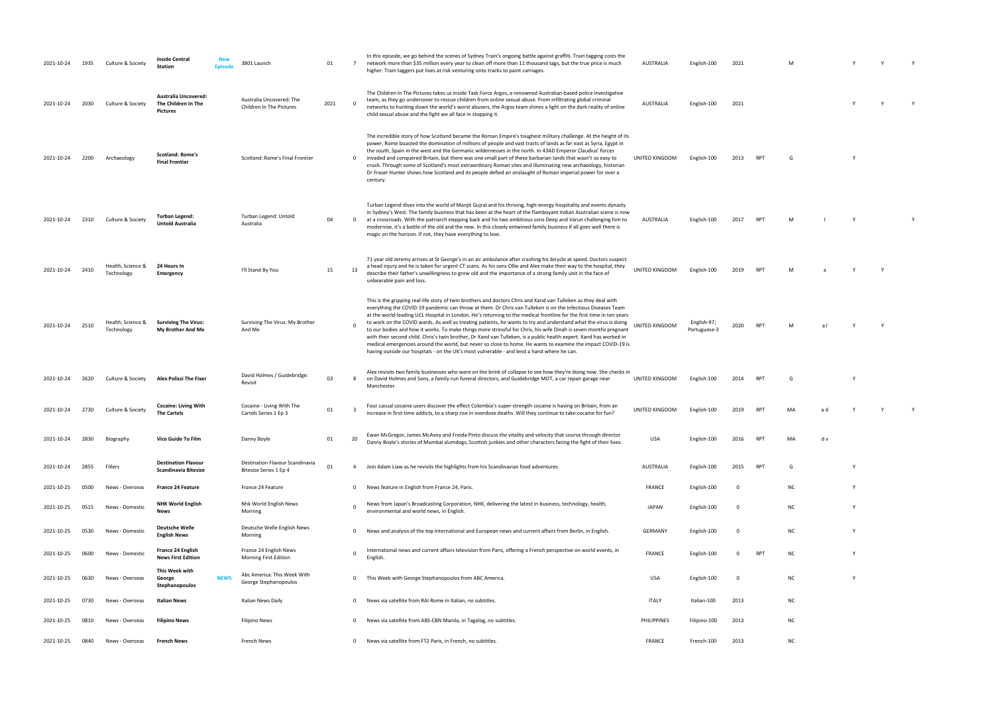| 2021-10-24 | 1935 | Culture & Society               | <b>Inside Central</b><br><b>Station</b>                               | 3801 Launch                                               | 01   | $7\overline{ }$ | In this episode, we go behind the scenes of Sydney Train's ongoing battle against graffiti. Train tagging costs the<br>network more than \$35 million every year to clean off more than 11 thousand tags, but the true price is much<br>higher. Train taggers put lives at risk venturing onto tracks to paint carriages.                                                                                                                                                                                                                                                                                                                                                                                                                                                                                                                                                                                                           | <b>AUSTRALIA</b> | English-100                 | 2021                    |                | M         |     |   | Y            |  |
|------------|------|---------------------------------|-----------------------------------------------------------------------|-----------------------------------------------------------|------|-----------------|-------------------------------------------------------------------------------------------------------------------------------------------------------------------------------------------------------------------------------------------------------------------------------------------------------------------------------------------------------------------------------------------------------------------------------------------------------------------------------------------------------------------------------------------------------------------------------------------------------------------------------------------------------------------------------------------------------------------------------------------------------------------------------------------------------------------------------------------------------------------------------------------------------------------------------------|------------------|-----------------------------|-------------------------|----------------|-----------|-----|---|--------------|--|
| 2021-10-24 | 2030 | Culture & Society               | <b>Australia Uncovered:</b><br>The Children In The<br><b>Pictures</b> | Australia Uncovered: The<br>Children In The Pictures      | 2021 | $\Omega$        | The Children In The Pictures takes us inside Task Force Argos, a renowned Australian-based police investigative<br>team, as they go undercover to rescue children from online sexual abuse. From infiltrating global criminal<br>networks to hunting down the world's worst abusers, the Argos team shines a light on the dark reality of online<br>child sexual abuse and the fight we all face in stopping it.                                                                                                                                                                                                                                                                                                                                                                                                                                                                                                                    | <b>AUSTRALIA</b> | English-100                 | 2021                    |                |           |     |   | Y            |  |
| 2021-10-24 | 2200 | Archaeology                     | <b>Scotland: Rome's</b><br><b>Final Frontier</b>                      | Scotland: Rome's Final Frontier                           |      | $\mathbf 0$     | The incredible story of how Scotland became the Roman Empire's toughest military challenge. At the height of its<br>power, Rome boasted the domination of millions of people and vast tracts of lands as far east as Syria, Egypt in<br>the south, Spain in the west and the Germanic wildernesses in the north. In 43AD Emperor Claudius' forces<br>invaded and conquered Britain, but there was one small part of these barbarian lands that wasn't so easy to<br>crush. Through some of Scotland's most extraordinary Roman sites and illuminating new archaeology, historian<br>Dr Fraser Hunter shows how Scotland and its people defied an onslaught of Roman imperial power for over a<br>century.                                                                                                                                                                                                                           | UNITED KINGDOM   | English-100                 | 2013                    | <b>RPT</b>     | G         |     |   |              |  |
| 2021-10-24 | 2310 | Culture & Society               | <b>Turban Legend:</b><br><b>Untold Australia</b>                      | Turban Legend: Untold<br>Australia                        | 04   | $\mathbf 0$     | Turban Legend dives into the world of Manjit Gujral and his thriving, high-energy hospitality and events dynasty<br>in Sydney's West. The family business that has been at the heart of the flamboyant Indian Australian scene is now<br>at a crossroads. With the patriarch stepping back and his two ambitious sons Deep and Varun challenging him to<br>modernise, it's a battle of the old and the new. In this closely entwined family business if all goes well there is<br>magic on the horizon. If not, they have everything to lose.                                                                                                                                                                                                                                                                                                                                                                                       | <b>AUSTRALIA</b> | English-100                 | 2017                    | <b>RPT</b>     |           |     |   |              |  |
| 2021-10-24 | 2410 | Health, Science &<br>Technology | 24 Hours In<br>Emergency                                              | I'll Stand By You                                         | 15   | 13              | 71 year old Jeremy arrives at St George's in an air ambulance after crashing his bicycle at speed. Doctors suspect<br>a head injury and he is taken for urgent CT scans. As his sons Ollie and Alex make their way to the hospital, they<br>describe their father's unwillingness to grow old and the importance of a strong family unit in the face of<br>unbearable pain and loss.                                                                                                                                                                                                                                                                                                                                                                                                                                                                                                                                                | UNITED KINGDOM   | English-100                 | 2019                    | R <sub>P</sub> |           |     |   |              |  |
| 2021-10-24 | 2510 | Health, Science &<br>Technology | <b>Surviving The Virus:</b><br>My Brother And Me                      | Surviving The Virus: My Brother<br>And Me                 |      |                 | This is the gripping real-life story of twin brothers and doctors Chris and Xand van Tulleken as they deal with<br>everything the COVID-19 pandemic can throw at them. Dr Chris van Tulleken is on the Infectious Diseases Team<br>at the world-leading UCL Hospital in London. He's returning to the medical frontline for the first time in ten years<br>to work on the COVID wards. As well as treating patients, he wants to try and understand what the virus is doing<br>to our bodies and how it works. To make things more stressful for Chris, his wife Dinah is seven months pregnant<br>with their second child. Chris's twin brother, Dr Xand van Tulleken, is a public health expert. Xand has worked in<br>medical emergencies around the world, but never so close to home. He wants to examine the impact COVID-19 is<br>having outside our hospitals - on the UK's most vulnerable - and lend a hand where he can. | JNITED KINGDOM   | English-97;<br>Portuguese-3 | 2020                    | <b>RPT</b>     |           |     |   | $\mathsf{v}$ |  |
| 2021-10-24 | 2620 | Culture & Society               | Alex Polizzi The Fixer                                                | David Holmes / Guidebridge:<br>Revisit                    | 03   | 8               | Alex revisits two family businesses who were on the brink of collapse to see how they're doing now. She checks in<br>on David Holmes and Sons, a family run funeral directors, and Guidebridge MOT, a car repair garage near<br>Manchester.                                                                                                                                                                                                                                                                                                                                                                                                                                                                                                                                                                                                                                                                                         | UNITED KINGDOM   | English-100                 | 2014                    | <b>RPT</b>     |           |     |   |              |  |
| 2021-10-24 | 2730 | Culture & Society               | <b>Cocaine: Living With</b><br><b>The Cartels</b>                     | Cocaine - Living With The<br>Cartels Series 1 Ep 3        | 01   | -3              | Four casual cocaine users discover the effect Colombia's super-strength cocaine is having on Britain, from an<br>increase in first-time addicts, to a sharp rise in overdose deaths. Will they continue to take cocaine for fun?                                                                                                                                                                                                                                                                                                                                                                                                                                                                                                                                                                                                                                                                                                    | UNITED KINGDOM   | English-100                 | 2019                    |                |           |     |   |              |  |
| 2021-10-24 | 2830 | Biography                       | Vice Guide To Film                                                    | Danny Boyle                                               | 01   | 20              | Ewan McGregor, James McAvoy and Freida Pinto discuss the vitality and velocity that course through director<br>Danny Boyle's stories of Mumbai slumdogs, Scottish junkies and other characters facing the fight of their lives.                                                                                                                                                                                                                                                                                                                                                                                                                                                                                                                                                                                                                                                                                                     | <b>USA</b>       | English-100                 | 2016                    | RPT            | MA        | d v |   |              |  |
| 2021-10-24 | 2855 | Fillers                         | <b>Destination Flavour</b><br>Scandinavia Bitesize                    | Destination Flavour Scandinavia<br>Bitesize Series 1 Ep 4 | 01   | 4               | Join Adam Liaw as he revisits the highlights from his Scandinavian food adventures.                                                                                                                                                                                                                                                                                                                                                                                                                                                                                                                                                                                                                                                                                                                                                                                                                                                 | <b>AUSTRALIA</b> | English-100                 | 2015                    | RPT            | G         |     | Y |              |  |
| 2021-10-25 | 0500 | News - Overseas                 | <b>France 24 Feature</b>                                              | France 24 Feature                                         |      | $\mathbf 0$     | News feature in English from France 24, Paris.                                                                                                                                                                                                                                                                                                                                                                                                                                                                                                                                                                                                                                                                                                                                                                                                                                                                                      | <b>FRANCE</b>    | English-100                 | $\overline{\mathbf{0}}$ |                | <b>NC</b> |     | Y |              |  |
| 2021-10-25 | 0515 | News - Domestic                 | <b>NHK World English</b><br><b>News</b>                               | Nhk World English News<br>Morning                         |      |                 | News from Japan's Broadcasting Corporation, NHK, delivering the latest in business, technology, health,<br>environmental and world news, in English.                                                                                                                                                                                                                                                                                                                                                                                                                                                                                                                                                                                                                                                                                                                                                                                | JAPAN            | English-100                 | $\overline{\mathbf{0}}$ |                | <b>NC</b> |     | Y |              |  |
| 2021-10-25 | 0530 | News - Domestic                 | <b>Deutsche Welle</b><br><b>English News</b>                          | Deutsche Welle English News<br>Morning                    |      | $\mathbf 0$     | News and analysis of the top international and European news and current affairs from Berlin, in English.                                                                                                                                                                                                                                                                                                                                                                                                                                                                                                                                                                                                                                                                                                                                                                                                                           | <b>GERMANY</b>   | English-100                 | - 0                     |                | <b>NC</b> |     | Y |              |  |
| 2021-10-25 | 0600 | News - Domestic                 | France 24 English<br><b>News First Edition</b>                        | France 24 English News<br>Morning First Edition           |      | $\Omega$        | International news and current affairs television from Paris, offering a French perspective on world events, in<br>English.                                                                                                                                                                                                                                                                                                                                                                                                                                                                                                                                                                                                                                                                                                                                                                                                         | <b>FRANCE</b>    | English-100                 | 0                       | RPT            | ΝC        |     | Y |              |  |
| 2021-10-25 | 0630 | News - Overseas                 | This Week with<br><b>NEWS</b><br>George<br>Stephanopoulos             | Abc America: This Week With<br>George Stephanopoulos      |      | $\mathbf{0}$    | This Week with George Stephanopoulos from ABC America.                                                                                                                                                                                                                                                                                                                                                                                                                                                                                                                                                                                                                                                                                                                                                                                                                                                                              | USA              | English-100                 | $\overline{\mathbf{0}}$ |                | <b>NC</b> |     | Y |              |  |
| 2021-10-25 | 0730 | News - Overseas                 | Italian News                                                          | Italian News Daily                                        |      | 0               | News via satellite from RAI Rome in Italian, no subtitles.                                                                                                                                                                                                                                                                                                                                                                                                                                                                                                                                                                                                                                                                                                                                                                                                                                                                          | <b>ITALY</b>     | Italian-100                 | 2013                    |                | <b>NC</b> |     |   |              |  |
| 2021-10-25 | 0810 | News - Overseas                 | <b>Filipino News</b>                                                  | <b>Filipino News</b>                                      |      | 0               | News via satellite from ABS-CBN Manila, in Tagalog, no subtitles.                                                                                                                                                                                                                                                                                                                                                                                                                                                                                                                                                                                                                                                                                                                                                                                                                                                                   | PHILIPPINES      | Filipino-100                | 2013                    |                | <b>NC</b> |     |   |              |  |
| 2021-10-25 | 0840 | News - Overseas                 | French News                                                           | French News                                               |      |                 | 0 News via satellite from FT2 Paris, in French, no subtitles.                                                                                                                                                                                                                                                                                                                                                                                                                                                                                                                                                                                                                                                                                                                                                                                                                                                                       | <b>FRANCE</b>    | French-100                  | 2013                    |                | <b>NC</b> |     |   |              |  |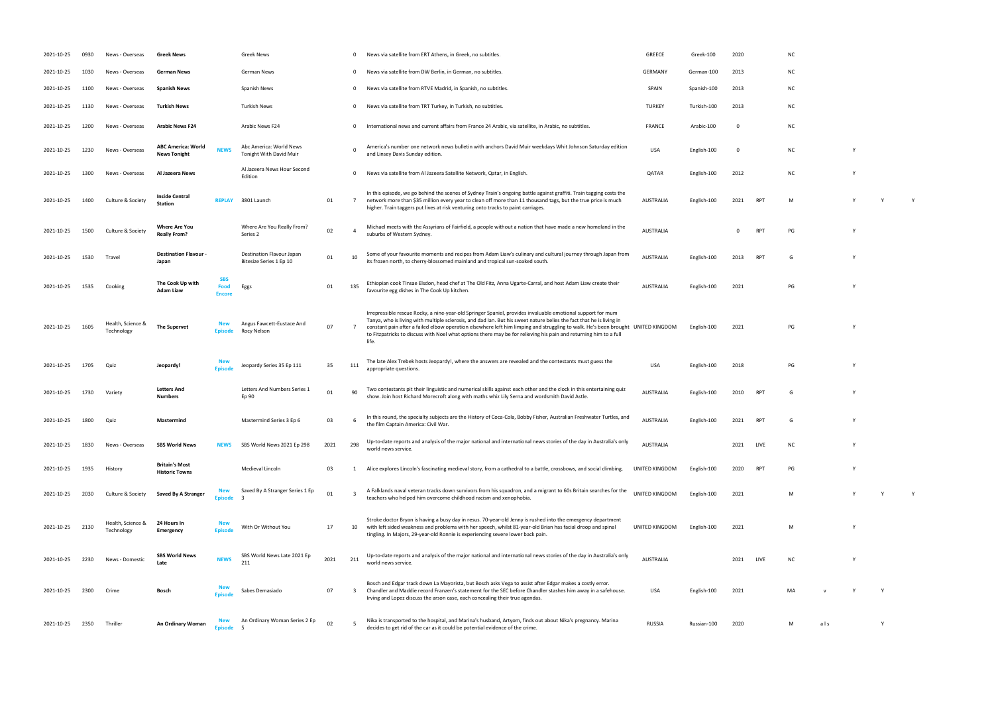| 2021-10-25 | 0930 | News - Overseas                 | Greek News                                       |                                     | Greek News                                           |      |                 | News via satellite from ERT Athens, in Greek, no subtitles.                                                                                                                                                                                                                                                                                                                                                                                                                                           | GREECE                | Greek-100   | 2020        |            | NC.       |     |  |
|------------|------|---------------------------------|--------------------------------------------------|-------------------------------------|------------------------------------------------------|------|-----------------|-------------------------------------------------------------------------------------------------------------------------------------------------------------------------------------------------------------------------------------------------------------------------------------------------------------------------------------------------------------------------------------------------------------------------------------------------------------------------------------------------------|-----------------------|-------------|-------------|------------|-----------|-----|--|
| 2021-10-25 | 1030 | News - Overseas                 | German News                                      |                                     | German News                                          |      | $\mathbf{0}$    | News via satellite from DW Berlin, in German, no subtitles.                                                                                                                                                                                                                                                                                                                                                                                                                                           | <b>GERMANY</b>        | German-100  | 2013        |            | NC.       |     |  |
| 2021-10-25 | 1100 | News - Overseas                 | <b>Spanish News</b>                              |                                     | Spanish News                                         |      | $\mathbf{0}$    | News via satellite from RTVE Madrid, in Spanish, no subtitles.                                                                                                                                                                                                                                                                                                                                                                                                                                        | SPAIN                 | Spanish-100 | 2013        |            | ΝC        |     |  |
| 2021-10-25 | 1130 | News - Overseas                 | <b>Turkish News</b>                              |                                     | Turkish News                                         |      | $\mathbf{0}$    | News via satellite from TRT Turkey, in Turkish, no subtitles.                                                                                                                                                                                                                                                                                                                                                                                                                                         | <b>TURKEY</b>         | Turkish-100 | 2013        |            | ΝC        |     |  |
| 2021-10-25 | 1200 | News - Overseas                 | <b>Arabic News F24</b>                           |                                     | Arabic News F24                                      |      | $\mathbf 0$     | International news and current affairs from France 24 Arabic, via satellite, in Arabic, no subtitles.                                                                                                                                                                                                                                                                                                                                                                                                 | <b>FRANCE</b>         | Arabic-100  | 0           |            | NC.       |     |  |
| 2021-10-25 | 1230 | News - Overseas                 | <b>ABC America: World</b><br><b>News Tonight</b> | <b>NEWS</b>                         | Abc America: World News<br>Tonight With David Muir   |      |                 | America's number one network news bulletin with anchors David Muir weekdays Whit Johnson Saturday edition<br>and Linsey Davis Sunday edition.                                                                                                                                                                                                                                                                                                                                                         | USA                   | English-100 | $\mathbf 0$ |            | <b>NC</b> |     |  |
| 2021-10-25 | 1300 | News - Overseas                 | Al Jazeera News                                  |                                     | Al Jazeera News Hour Second<br>Edition               |      | $\mathbf{0}$    | News via satellite from Al Jazeera Satellite Network, Qatar, in English.                                                                                                                                                                                                                                                                                                                                                                                                                              | QATAR                 | English-100 | 2012        |            | <b>NC</b> |     |  |
| 2021-10-25 | 1400 | Culture & Society               | <b>Inside Central</b><br><b>Station</b>          | <b>REPLAY</b>                       | 3801 Launch                                          | 01   | $7\overline{ }$ | In this episode, we go behind the scenes of Sydney Train's ongoing battle against graffiti. Train tagging costs the<br>network more than \$35 million every year to clean off more than 11 thousand tags, but the true price is much<br>higher. Train taggers put lives at risk venturing onto tracks to paint carriages.                                                                                                                                                                             | AUSTRALIA             | English-100 | 2021        | RPT        | M         |     |  |
| 2021-10-25 | 1500 | Culture & Society               | <b>Where Are You</b><br><b>Really From?</b>      |                                     | Where Are You Really From?<br>Series 2               | 02   |                 | Michael meets with the Assyrians of Fairfield, a people without a nation that have made a new homeland in the<br>suburbs of Western Sydney.                                                                                                                                                                                                                                                                                                                                                           | <b>AUSTRALIA</b>      |             | 0           | <b>RPT</b> | PG        |     |  |
| 2021-10-25 | 1530 | Travel                          | <b>Destination Flavour -</b><br>Japan            |                                     | Destination Flavour Japan<br>Bitesize Series 1 Ep 10 | 01   | 10              | Some of your favourite moments and recipes from Adam Liaw's culinary and cultural journey through Japan from<br>its frozen north, to cherry-blossomed mainland and tropical sun-soaked south.                                                                                                                                                                                                                                                                                                         | <b>AUSTRALIA</b>      | English-100 | 2013        | <b>RPT</b> | G         |     |  |
| 2021-10-25 | 1535 | Cooking                         | The Cook Up with<br>Adam Liaw                    | <b>SBS</b><br>Food<br><b>Encore</b> | Eggs                                                 | 01   | 135             | Ethiopian cook Tinsae Elsdon, head chef at The Old Fitz, Anna Ugarte-Carral, and host Adam Liaw create their<br>favourite egg dishes in The Cook Up kitchen.                                                                                                                                                                                                                                                                                                                                          | <b>AUSTRALIA</b>      | English-100 | 2021        |            | PG        |     |  |
| 2021-10-25 | 1605 | Health, Science &<br>Technology | <b>The Supervet</b>                              | <b>New</b><br><b>Episode</b>        | Angus Fawcett-Eustace And<br>Rocy Nelson             | 07   | 7               | Irrepressible rescue Rocky, a nine-year-old Springer Spaniel, provides invaluable emotional support for mum<br>Tanya, who is living with multiple sclerosis, and dad Ian. But his sweet nature belies the fact that he is living in<br>constant pain after a failed elbow operation elsewhere left him limping and struggling to walk. He's been brought UNITED KINGDOM<br>to Fitzpatricks to discuss with Noel what options there may be for relieving his pain and returning him to a full<br>life. |                       | English-100 | 2021        |            | PG        |     |  |
| 2021-10-25 | 1705 | Quiz                            | Jeopardy!                                        | <b>New</b><br><b>Episode</b>        | Jeopardy Series 35 Ep 111                            | 35   | 111             | The late Alex Trebek hosts Jeopardy!, where the answers are revealed and the contestants must guess the<br>appropriate questions.                                                                                                                                                                                                                                                                                                                                                                     | <b>USA</b>            | English-100 | 2018        |            | PG        |     |  |
| 2021-10-25 | 1730 | Variety                         | <b>Letters And</b><br>Numbers                    |                                     | Letters And Numbers Series 1<br>Ep 90                | 01   | 90              | Two contestants pit their linguistic and numerical skills against each other and the clock in this entertaining quiz<br>show. Join host Richard Morecroft along with maths whiz Lily Serna and wordsmith David Astle.                                                                                                                                                                                                                                                                                 | <b>AUSTRALIA</b>      | English-100 | 2010        | <b>RPT</b> | G         |     |  |
| 2021-10-25 | 1800 | Quiz                            | Mastermind                                       |                                     | Mastermind Series 3 Ep 6                             | 03   |                 | In this round, the specialty subjects are the History of Coca-Cola, Bobby Fisher, Australian Freshwater Turtles, and<br>the film Captain America: Civil War.                                                                                                                                                                                                                                                                                                                                          | AUSTRALIA             | English-100 | 2021        | <b>RPT</b> |           |     |  |
| 2021-10-25 | 1830 | News - Overseas                 | <b>SBS World News</b>                            | <b>NEWS</b>                         | SBS World News 2021 Ep 298                           | 2021 | 298             | Up-to-date reports and analysis of the major national and international news stories of the day in Australia's only<br>world news service.                                                                                                                                                                                                                                                                                                                                                            | <b>AUSTRALIA</b>      |             | 2021        | LIVE       | NC.       |     |  |
| 2021-10-25 | 1935 | History                         | <b>Britain's Most</b><br><b>Historic Towns</b>   |                                     | Medieval Lincoln                                     | 03   |                 | Alice explores Lincoln's fascinating medieval story, from a cathedral to a battle, crossbows, and social climbing.                                                                                                                                                                                                                                                                                                                                                                                    | UNITED KINGDOM        | English-100 | 2020        | <b>RPT</b> | PG        |     |  |
| 2021-10-25 | 2030 | Culture & Society               | Saved By A Stranger                              | <b>New</b><br>Episod                | Saved By A Stranger Series 1 Ep                      | 01   | -3              | A Falklands naval veteran tracks down survivors from his squadron, and a migrant to 60s Britain searches for the<br>teachers who helped him overcome childhood racism and xenophobia.                                                                                                                                                                                                                                                                                                                 | <b>UNITED KINGDOM</b> | English-100 | 2021        |            | M         |     |  |
| 2021-10-25 | 2130 | Health, Science &<br>Technology | 24 Hours In<br>Emergency                         | <b>New</b><br><b>Episod</b>         | With Or Without You                                  | 17   | 10              | Stroke doctor Bryan is having a busy day in resus. 70-year-old Jenny is rushed into the emergency department<br>with left sided weakness and problems with her speech, whilst 81-year-old Brian has facial droop and spinal<br>tingling. In Majors, 29-year-old Ronnie is experiencing severe lower back pain.                                                                                                                                                                                        | UNITED KINGDOM        | English-100 | 2021        |            | М         |     |  |
| 2021-10-25 | 2230 | News - Domestic                 | <b>SBS World News</b><br>Late                    | <b>NEWS</b>                         | SBS World News Late 2021 Ep<br>211                   | 2021 | 211             | Up-to-date reports and analysis of the major national and international news stories of the day in Australia's only<br>world news service.                                                                                                                                                                                                                                                                                                                                                            | <b>AUSTRALIA</b>      |             | 2021        | LIVE       | NC.       |     |  |
| 2021-10-25 | 2300 | Crime                           | Bosch                                            | <b>Episod</b>                       | Sabes Demasiado                                      | 07   | -3              | Bosch and Edgar track down La Mayorista, but Bosch asks Vega to assist after Edgar makes a costly error.<br>Chandler and Maddie record Franzen's statement for the SEC before Chandler stashes him away in a safehouse.<br>Irving and Lopez discuss the arson case, each concealing their true agendas.                                                                                                                                                                                               | USA                   | English-100 | 2021        |            | MA        |     |  |
| 2021-10-25 | 2350 | Thriller                        | An Ordinary Woman                                | <b>Episode</b>                      | An Ordinary Woman Series 2 Ep                        | 02   |                 | Nika is transported to the hospital, and Marina's husband, Artyom, finds out about Nika's pregnancy. Marina<br>decides to get rid of the car as it could be potential evidence of the crime.                                                                                                                                                                                                                                                                                                          | <b>RUSSIA</b>         | Russian-100 | 2020        |            | M         | als |  |

- 
- 
- $\begin{array}{ccccc} \text{RPT} & \text{M} & \text{Y} & \text{Y} & \text{Y} \end{array}$
- 
- 
- PG Y
- 
- 
- 
- teachers who helped him overcome childhood racism and xenophobia. UNITED KINGDOM English-100 <sup>2021</sup> <sup>M</sup> <sup>Y</sup> <sup>Y</sup> <sup>Y</sup>
- UNITED KINGDOM English-100 2021 M Y
- world news service. AuSTRALIA 2021 LIVE NC Y MA v Y Y
	- decides to get rid of the car as it could be potential evidence of the crime. RUSSIA Russian-100 <sup>2020</sup> <sup>M</sup> a l s Y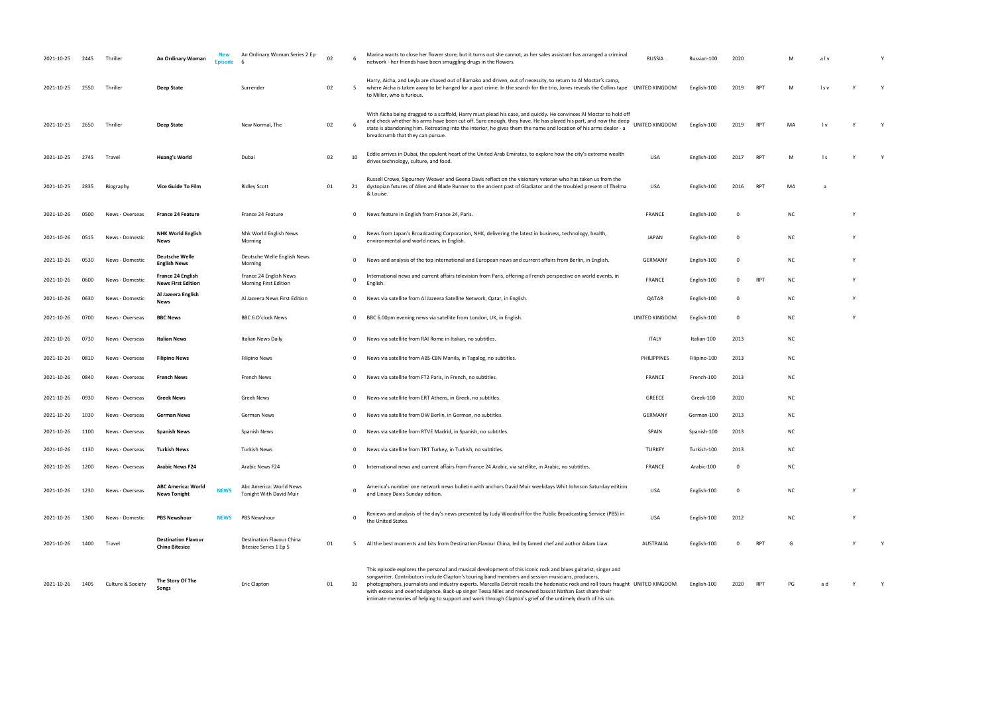| 2021-10-25 | 2445 | Thriller          | An Ordinary Woman                                   | Fnisod      | An Ordinary Woman Series 2 Ep                       | 02 |              | Marina wants to close her flower store, but it turns out she cannot, as her sales assistant has arranged a criminal<br>network - her friends have been smuggling drugs in the flowers.                                                                                                                                                                                                                                                                                                                                                                                              | <b>RUSSIA</b>    | Russian-100  | 2020        |                 |           | alv   |  |
|------------|------|-------------------|-----------------------------------------------------|-------------|-----------------------------------------------------|----|--------------|-------------------------------------------------------------------------------------------------------------------------------------------------------------------------------------------------------------------------------------------------------------------------------------------------------------------------------------------------------------------------------------------------------------------------------------------------------------------------------------------------------------------------------------------------------------------------------------|------------------|--------------|-------------|-----------------|-----------|-------|--|
| 2021-10-25 | 2550 | Thriller          | Deep State                                          |             | Surrender                                           | 02 | 5            | Harry, Aicha, and Leyla are chased out of Bamako and driven, out of necessity, to return to Al Moctar's camp,<br>where Aicha is taken away to be hanged for a past crime. In the search for the trio, Jones reveals the Collins tape UNITED KINGDOM<br>to Miller, who is furious.                                                                                                                                                                                                                                                                                                   |                  | English-100  | 2019        | <b>RPT</b>      | м         | l s v |  |
| 2021-10-25 | 2650 | Thriller          | Deep State                                          |             | New Normal, The                                     | 02 |              | With Aïcha being dragged to a scaffold, Harry must plead his case, and quickly. He convinces Al Moctar to hold off<br>and check whether his arms have been cut off. Sure enough, they have. He has played his part, and now the deep<br>state is abandoning him. Retreating into the interior, he gives them the name and location of his arms dealer - a<br>breadcrumb that they can pursue.                                                                                                                                                                                       | UNITED KINGDOM   | English-100  | 2019        | RP <sub>1</sub> | MA        | l v   |  |
| 2021-10-25 | 2745 | Travel            | <b>Huang's World</b>                                |             | Dubai                                               | 02 | 10           | Eddie arrives in Dubai, the opulent heart of the United Arab Emirates, to explore how the city's extreme wealth<br>drives technology, culture, and food.                                                                                                                                                                                                                                                                                                                                                                                                                            | USA              | English-100  | 2017        | <b>RPT</b>      | м         | l s   |  |
| 2021-10-25 | 2835 | Biography         | Vice Guide To Film                                  |             | <b>Ridley Scott</b>                                 | 01 | 21           | Russell Crowe, Sigourney Weaver and Geena Davis reflect on the visionary veteran who has taken us from the<br>dystopian futures of Alien and Blade Runner to the ancient past of Gladiator and the troubled present of Thelma<br>& Louise.                                                                                                                                                                                                                                                                                                                                          | USA              | English-100  | 2016        | RPT             | MA        |       |  |
| 2021-10-26 | 0500 | News - Overseas   | <b>France 24 Feature</b>                            |             | France 24 Feature                                   |    | $\mathbf{0}$ | News feature in English from France 24, Paris.                                                                                                                                                                                                                                                                                                                                                                                                                                                                                                                                      | <b>FRANCE</b>    | English-100  | 0           |                 | NC        |       |  |
| 2021-10-26 | 0515 | News - Domestic   | <b>NHK World English</b><br>News                    |             | Nhk World English News<br>Morning                   |    | $\Omega$     | News from Japan's Broadcasting Corporation, NHK, delivering the latest in business, technology, health,<br>environmental and world news, in English                                                                                                                                                                                                                                                                                                                                                                                                                                 | JAPAN            | English-100  | 0           |                 | ΝC        |       |  |
| 2021-10-26 | 0530 | News - Domestic   | <b>Deutsche Welle</b><br><b>English News</b>        |             | Deutsche Welle English News<br>Morning              |    | $\mathbf{0}$ | News and analysis of the top international and European news and current affairs from Berlin, in English.                                                                                                                                                                                                                                                                                                                                                                                                                                                                           | <b>GERMANY</b>   | English-100  | 0           |                 | NC        |       |  |
| 2021-10-26 | 0600 | News - Domestic   | France 24 English<br><b>News First Edition</b>      |             | France 24 English News<br>Morning First Edition     |    | -0           | International news and current affairs television from Paris, offering a French perspective on world events, in<br>English.                                                                                                                                                                                                                                                                                                                                                                                                                                                         | FRANCE           | English-100  |             | RPT             | <b>NC</b> |       |  |
| 2021-10-26 | 0630 | News - Domestic   | Al Jazeera English<br>News                          |             | Al Jazeera News First Edition                       |    | $\mathbf{0}$ | News via satellite from Al Jazeera Satellite Network, Qatar, in English.                                                                                                                                                                                                                                                                                                                                                                                                                                                                                                            | QATAR            | English-100  | 0           |                 | NC        |       |  |
| 2021-10-26 | 0700 | News - Overseas   | <b>BBC News</b>                                     |             | BBC 6 O'clock News                                  |    | $^{\circ}$   | BBC 6.00pm evening news via satellite from London, UK, in English.                                                                                                                                                                                                                                                                                                                                                                                                                                                                                                                  | UNITED KINGDOM   | English-100  | 0           |                 | ΝC        |       |  |
| 2021-10-26 | 0730 | News - Overseas   | Italian News                                        |             | Italian News Daily                                  |    | 0            | News via satellite from RAI Rome in Italian, no subtitles.                                                                                                                                                                                                                                                                                                                                                                                                                                                                                                                          | <b>ITALY</b>     | Italian-100  | 2013        |                 | ΝC        |       |  |
| 2021-10-26 | 0810 | News - Overseas   | <b>Filipino News</b>                                |             | Filipino News                                       |    | 0            | News via satellite from ABS-CBN Manila, in Tagalog, no subtitles.                                                                                                                                                                                                                                                                                                                                                                                                                                                                                                                   | PHILIPPINES      | Filipino-100 | 2013        |                 | ΝC        |       |  |
| 2021-10-26 | 0840 | News - Overseas   | <b>French News</b>                                  |             | French News                                         |    | $\Omega$     | News via satellite from FT2 Paris, in French, no subtitles.                                                                                                                                                                                                                                                                                                                                                                                                                                                                                                                         | FRANCE           | French-100   | 2013        |                 | NC        |       |  |
| 2021-10-26 | 0930 | News - Overseas   | <b>Greek News</b>                                   |             | Greek News                                          |    | 0            | News via satellite from ERT Athens, in Greek, no subtitles.                                                                                                                                                                                                                                                                                                                                                                                                                                                                                                                         | GREECE           | Greek-100    | 2020        |                 | NC        |       |  |
| 2021-10-26 | 1030 | News - Overseas   | German News                                         |             | German News                                         |    |              | 0 News via satellite from DW Berlin, in German, no subtitles.                                                                                                                                                                                                                                                                                                                                                                                                                                                                                                                       | <b>GERMANY</b>   | German-100   | 2013        |                 | <b>NC</b> |       |  |
| 2021-10-26 | 1100 | News - Overseas   | <b>Spanish News</b>                                 |             | Spanish News                                        |    | $\Omega$     | News via satellite from RTVE Madrid, in Spanish, no subtitles.                                                                                                                                                                                                                                                                                                                                                                                                                                                                                                                      | SPAIN            | Spanish-100  | 2013        |                 | ΝC        |       |  |
| 2021-10-26 | 1130 | News - Overseas   | <b>Turkish News</b>                                 |             | <b>Turkish News</b>                                 |    | $\mathbf{0}$ | News via satellite from TRT Turkey, in Turkish, no subtitles.                                                                                                                                                                                                                                                                                                                                                                                                                                                                                                                       | <b>TURKEY</b>    | Turkish-100  | 2013        |                 | NC        |       |  |
| 2021-10-26 | 1200 | News - Overseas   | <b>Arabic News F24</b>                              |             | Arabic News F24                                     |    | $\mathbf{0}$ | International news and current affairs from France 24 Arabic, via satellite, in Arabic, no subtitles.                                                                                                                                                                                                                                                                                                                                                                                                                                                                               | FRANCE           | Arabic-100   | 0           |                 | NC        |       |  |
| 2021-10-26 | 1230 | News - Overseas   | <b>ABC America: World</b><br><b>News Tonight</b>    | <b>NEWS</b> | Abc America: World News<br>Tonight With David Muir  |    | $\Omega$     | America's number one network news bulletin with anchors David Muir weekdays Whit Johnson Saturday edition<br>and Linsey Davis Sunday edition.                                                                                                                                                                                                                                                                                                                                                                                                                                       | <b>USA</b>       | English-100  | $\mathbf 0$ |                 | <b>NC</b> |       |  |
| 2021-10-26 | 1300 | News - Domestic   | <b>PBS Newshour</b>                                 | <b>NEWS</b> | PBS Newshour                                        |    | $\mathbf 0$  | Reviews and analysis of the day's news presented by Judy Woodruff for the Public Broadcasting Service (PBS) in<br>the United States.                                                                                                                                                                                                                                                                                                                                                                                                                                                | USA              | English-100  | 2012        |                 | <b>NC</b> |       |  |
| 2021-10-26 | 1400 | Travel            | <b>Destination Flavour</b><br><b>China Bitesize</b> |             | Destination Flavour China<br>Bitesize Series 1 Ep 5 | 01 | -5           | All the best moments and bits from Destination Flavour China, led by famed chef and author Adam Liaw.                                                                                                                                                                                                                                                                                                                                                                                                                                                                               | <b>AUSTRALIA</b> | English-100  | $\Omega$    | <b>RPT</b>      | G         |       |  |
| 2021-10-26 | 1405 | Culture & Society | The Story Of The<br>Songs                           |             | Eric Clapton                                        | 01 | 10           | This episode explores the personal and musical development of this iconic rock and blues guitarist, singer and<br>songwriter. Contributors include Clapton's touring band members and session musicians, producers,<br>photographers, journalists and industry experts. Marcella Detroit recalls the hedonistic rock and roll tours fraught UNITED KINGDOM<br>with excess and overindulgence. Back-up singer Tessa Niles and renowned bassist Nathan East share their<br>intimate memories of helping to support and work through Clapton's grief of the untimely death of his son. |                  | English-100  | 2020        | <b>RPT</b>      | PG        |       |  |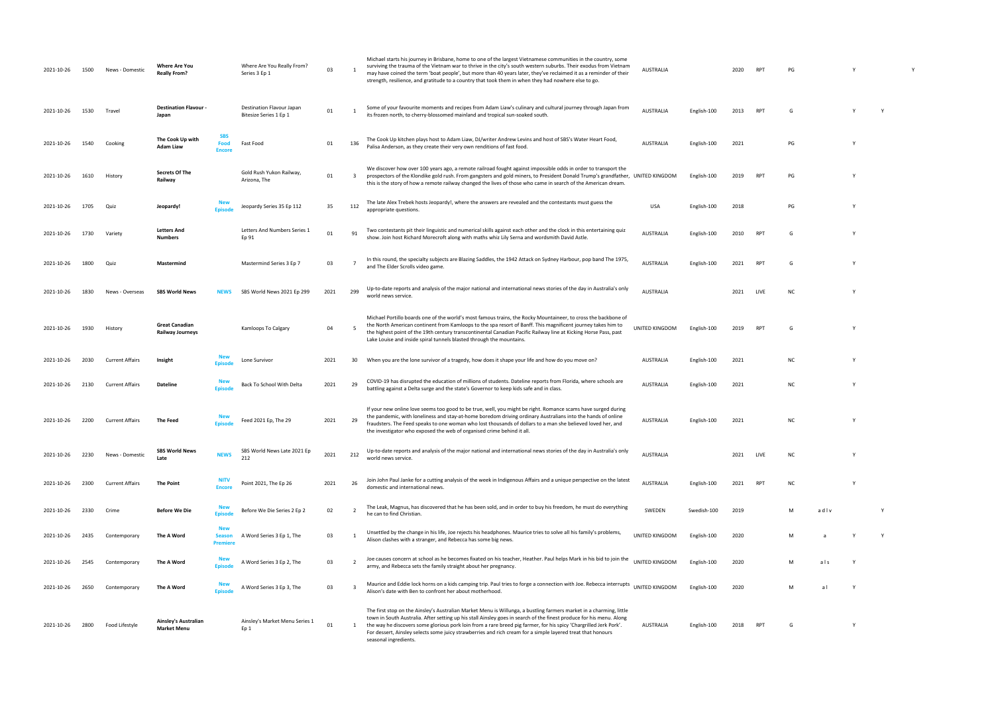| 2021-10-26 | 1500 | News - Domestic        | <b>Where Are You</b><br><b>Really From?</b>      |                                        | Where Are You Really From?<br>Series 3 Ep 1         | 03   |                         | Michael starts his journey in Brisbane, home to one of the largest Vietnamese communities in the country, some<br>surviving the trauma of the Vietnam war to thrive in the city's south western suburbs. Their exodus from Vietnam<br>may have coined the term 'boat people', but more than 40 years later, they've reclaimed it as a reminder of their<br>strength, resilience, and gratitude to a country that took them in when they had nowhere else to go.                                          | <b>AUSTRALIA</b> |             | 2020 |            | PG |      |   |   |  |
|------------|------|------------------------|--------------------------------------------------|----------------------------------------|-----------------------------------------------------|------|-------------------------|----------------------------------------------------------------------------------------------------------------------------------------------------------------------------------------------------------------------------------------------------------------------------------------------------------------------------------------------------------------------------------------------------------------------------------------------------------------------------------------------------------|------------------|-------------|------|------------|----|------|---|---|--|
| 2021-10-26 | 1530 | Travel                 | Destination Flavour -<br>Japan                   |                                        | Destination Flavour Japan<br>Bitesize Series 1 Ep 1 | 01   |                         | Some of your favourite moments and recipes from Adam Liaw's culinary and cultural journey through Japan from<br>its frozen north, to cherry-blossomed mainland and tropical sun-soaked south.                                                                                                                                                                                                                                                                                                            | <b>AUSTRALIA</b> | English-100 | 2013 | <b>RPT</b> |    |      |   |   |  |
| 2021-10-26 | 1540 | Cooking                | The Cook Up with<br>Adam Liaw                    | <b>SBS</b><br>Food<br><b>Encore</b>    | Fast Food                                           | 01   | 136                     | The Cook Up kitchen plays host to Adam Liaw, DJ/writer Andrew Levins and host of SBS's Water Heart Food,<br>Palisa Anderson, as they create their very own renditions of fast food.                                                                                                                                                                                                                                                                                                                      | AUSTRALIA        | English-100 | 2021 |            | PG |      |   |   |  |
| 2021-10-26 | 1610 | History                | <b>Secrets Of The</b><br>Railway                 |                                        | Gold Rush Yukon Railway,<br>Arizona, The            | 01   | $\overline{\mathbf{3}}$ | We discover how over 100 years ago, a remote railroad fought against impossible odds in order to transport the<br>prospectors of the Klondike gold rush. From gangsters and gold miners, to President Donald Trump's grandfather, UNITED KINGDOM<br>this is the story of how a remote railway changed the lives of those who came in search of the American dream                                                                                                                                        |                  | English-100 | 2019 | RPT        | PG |      |   |   |  |
| 2021-10-26 | 1705 | Quiz                   | Jeopardy!                                        |                                        | Jeopardy Series 35 Ep 112                           | 35   | 112                     | The late Alex Trebek hosts Jeopardy!, where the answers are revealed and the contestants must guess the<br>appropriate questions.                                                                                                                                                                                                                                                                                                                                                                        | <b>USA</b>       | English-100 | 2018 |            | PG |      |   |   |  |
| 2021-10-26 | 1730 | Variety                | <b>Letters And</b><br>Numbers                    |                                        | Letters And Numbers Series 1<br>Ep 91               | 01   | 91                      | Two contestants pit their linguistic and numerical skills against each other and the clock in this entertaining quiz<br>show. Join host Richard Morecroft along with maths whiz Lily Serna and wordsmith David Astle.                                                                                                                                                                                                                                                                                    | AUSTRALIA        | English-100 | 2010 | RPT        |    |      |   |   |  |
| 2021-10-26 | 1800 | Quiz                   | Mastermind                                       |                                        | Mastermind Series 3 Ep 7                            | 03   |                         | In this round, the specialty subjects are Blazing Saddles, the 1942 Attack on Sydney Harbour, pop band The 1975,<br>and The Elder Scrolls video game.                                                                                                                                                                                                                                                                                                                                                    | AUSTRALIA        | English-100 | 2021 |            |    |      |   |   |  |
| 2021-10-26 | 1830 | News - Oversea         | <b>SBS World News</b>                            |                                        | SBS World News 2021 Ep 299                          | 2021 | 299                     | Up-to-date reports and analysis of the major national and international news stories of the day in Australia's only<br>world news service.                                                                                                                                                                                                                                                                                                                                                               | <b>AUSTRALIA</b> |             | 2021 | LIVE       | NO |      |   |   |  |
| 2021-10-26 | 1930 | History                | <b>Great Canadian</b><br><b>Railway Journeys</b> |                                        | Kamloops To Calgary                                 | 04   | - 5                     | Michael Portillo boards one of the world's most famous trains, the Rocky Mountaineer, to cross the backbone of<br>the North American continent from Kamloops to the spa resort of Banff. This magnificent journey takes him to<br>the highest point of the 19th century transcontinental Canadian Pacific Railway line at Kicking Horse Pass, past<br>Lake Louise and inside spiral tunnels blasted through the mountains.                                                                               | UNITED KINGDOM   | English-100 | 2019 | <b>RPT</b> |    |      |   |   |  |
| 2021-10-26 | 2030 | <b>Current Affairs</b> | Insight                                          |                                        | Lone Survivor                                       | 2021 | 30                      | When you are the lone survivor of a tragedy, how does it shape your life and how do you move on?                                                                                                                                                                                                                                                                                                                                                                                                         | AUSTRALIA        | English-100 | 2021 |            | ΝC |      |   |   |  |
| 2021-10-26 | 2130 | <b>Current Affairs</b> | Dateline                                         |                                        | Back To School With Delta                           | 2021 | 29                      | COVID-19 has disrupted the education of millions of students. Dateline reports from Florida, where schools are<br>battling against a Delta surge and the state's Governor to keep kids safe and in class.                                                                                                                                                                                                                                                                                                | <b>AUSTRALIA</b> | English-100 | 2021 |            | NC |      |   |   |  |
| 2021-10-26 | 2200 | Current Affairs        | The Feed                                         | <b>Episod</b>                          | Feed 2021 Ep, The 29                                | 2021 | 29                      | If your new online love seems too good to be true, well, you might be right. Romance scams have surged during<br>the pandemic, with loneliness and stay-at-home boredom driving ordinary Australians into the hands of online<br>fraudsters. The Feed speaks to one woman who lost thousands of dollars to a man she believed loved her, and<br>the investigator who exposed the web of organised crime behind it all.                                                                                   | <b>AUSTRALIA</b> | English-100 | 2021 |            | NC |      |   |   |  |
| 2021-10-26 | 2230 | News - Domestic        | <b>SBS World News</b><br>Late                    | <b>NEWS</b>                            | SBS World News Late 2021 Ep<br>212                  | 2021 | 212                     | Up-to-date reports and analysis of the major national and international news stories of the day in Australia's only<br>world news service.                                                                                                                                                                                                                                                                                                                                                               | <b>AUSTRALIA</b> |             | 2021 | LIVE       | NC |      |   |   |  |
| 2021-10-26 | 2300 | <b>Current Affairs</b> | The Point                                        | <b>Encore</b>                          | Point 2021, The Ep 26                               | 2021 | 26                      | Join John Paul Janke for a cutting analysis of the week in Indigenous Affairs and a unique perspective on the latest<br>domestic and international news.                                                                                                                                                                                                                                                                                                                                                 | AUSTRALIA        | English-100 | 2021 | <b>RPT</b> | NC |      |   |   |  |
| 2021-10-26 | 2330 | Crime                  | <b>Before We Die</b>                             | <b>Fnisode</b>                         | Before We Die Series 2 Ep 2                         | 02   | - 2                     | The Leak, Magnus, has discovered that he has been sold, and in order to buy his freedom, he must do everything<br>he can to find Christian.                                                                                                                                                                                                                                                                                                                                                              | SWEDEN           | Swedish-100 | 2019 |            | M  | adlv |   |   |  |
| 2021-10-26 | 2435 | Contemporary           | The A Word                                       | <b>New</b><br><b>Season</b><br>Premien | A Word Series 3 Ep 1, The                           | 03   | -1                      | Unsettled by the change in his life, Joe rejects his headphones. Maurice tries to solve all his family's problems,<br>Alison clashes with a stranger, and Rebecca has some big news.                                                                                                                                                                                                                                                                                                                     | UNITED KINGDOM   | English-100 | 2020 |            | M  | a    |   | Y |  |
| 2021-10-26 | 2545 | Contemporary           | The A Word                                       |                                        | A Word Series 3 Ep 2, The                           | 03   | $\overline{2}$          | Joe causes concern at school as he becomes fixated on his teacher, Heather. Paul helps Mark in his bid to join the<br>army, and Rebecca sets the family straight about her pregnancy.                                                                                                                                                                                                                                                                                                                    | UNITED KINGDOM   | English-100 | 2020 |            | M  | als  |   |   |  |
| 2021-10-26 | 2650 | Contemporary           | The A Word                                       | <b>Fnisode</b>                         | A Word Series 3 Ep 3, The                           | 03   | $\mathbf{R}$            | Maurice and Eddie lock horns on a kids camping trip. Paul tries to forge a connection with Joe. Rebecca interrupts<br>Alison's date with Ben to confront her about motherhood.                                                                                                                                                                                                                                                                                                                           | UNITED KINGDOM   | English-100 | 2020 |            | M  | a l  | Y |   |  |
| 2021-10-26 | 2800 | Food Lifestyle         | Ainsley's Australian<br><b>Market Menu</b>       |                                        | Ainsley's Market Menu Series 1<br>Ep 1              | 01   |                         | The first stop on the Ainsley's Australian Market Menu is Willunga, a bustling farmers market in a charming, little<br>town in South Australia. After setting up his stall Ainsley goes in search of the finest produce for his menu. Along<br>the way he discovers some glorious pork loin from a rare breed pig farmer, for his spicy 'Chargrilled Jerk Pork'.<br>For dessert, Ainsley selects some juicy strawberries and rich cream for a simple layered treat that honours<br>seasonal ingredients. | AUSTRALIA        | English-100 | 2018 | <b>RPT</b> | G  |      |   |   |  |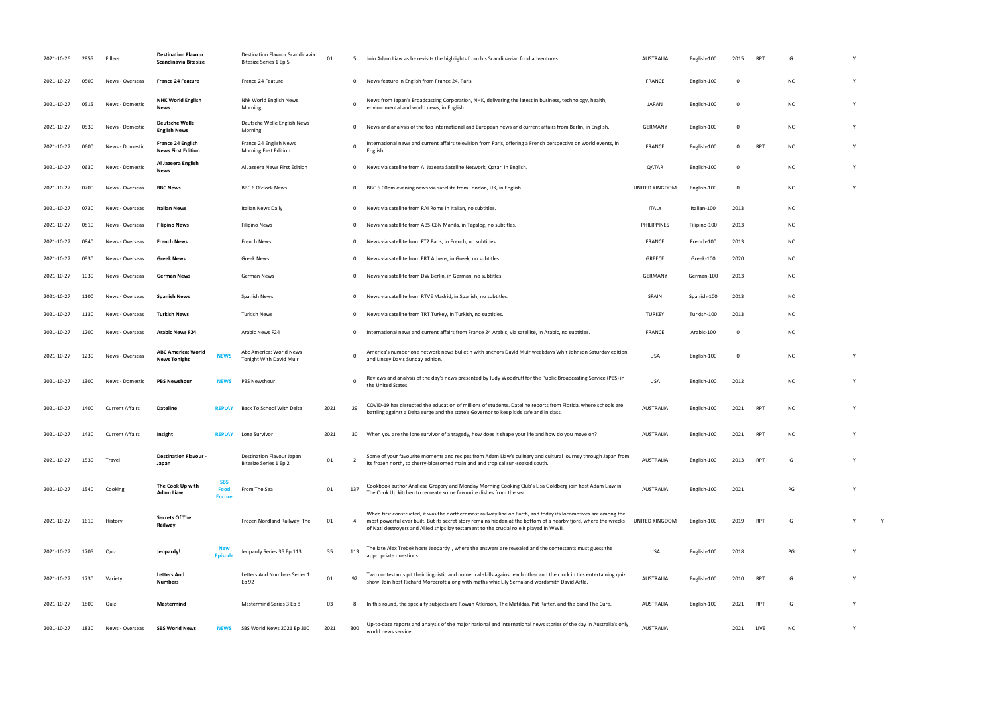The Cook Up kitchen to recreate some favourite dishes from the sea. AUSTRALIA English-100 <sup>2021</sup> PG <sup>Y</sup> UNITED STATES AND A VIOLATION CONTRACTOR OF A VIOLATION CONTRACTOR OF A VIOLATION OF A VIOLATION CONTRACTOR OF<br>Discontractor of a violation of a violation of a violation of a violation of a violation of a violation of a v<br>

2021-10-27 1800 Quiz **Mastermind** Mastermind Series 3 Ep 8 03 8 In this round, the specialty subjects are Rowan Atkinson, The Matildas, Pat Rafter, and the band The Cure. AUSTRALIA English-100 2021 RPT G Y world news service. AuSTRALIA 2021 2022 2021 2022 2021 2022 2021 2021 2022 2021 2021 2021 2021 2021 2021 2021 2021 2021 2021 2021 2021 2021 2021 2021 2021 2021 2021 2021 2021 2022 2021 2021 2021 2021 2021 2021 2021 2021 20

| 2021-10-26 | 2855 | Fillers                | <b>Destination Flavour</b><br><b>Scandinavia Bitesize</b> |                                     | Destination Flavour Scandinavia<br>Bitesize Series 1 Ep 5 | 01   |              | Join Adam Liaw as he revisits the highlights from his Scandinavian food adventures.                                                                                                                                                                                                                                           | <b>AUSTRALIA</b> | English-100  | 2015        | RP <sup>1</sup> | G         |  |
|------------|------|------------------------|-----------------------------------------------------------|-------------------------------------|-----------------------------------------------------------|------|--------------|-------------------------------------------------------------------------------------------------------------------------------------------------------------------------------------------------------------------------------------------------------------------------------------------------------------------------------|------------------|--------------|-------------|-----------------|-----------|--|
| 2021-10-27 | 0500 | News - Overseas        | <b>France 24 Feature</b>                                  |                                     | France 24 Feature                                         |      | $\mathbf 0$  | News feature in English from France 24, Paris.                                                                                                                                                                                                                                                                                | <b>FRANCE</b>    | English-100  | $\Omega$    |                 | NC.       |  |
| 2021-10-27 | 0515 | News - Domestic        | <b>NHK World English</b><br><b>News</b>                   |                                     | Nhk World English News<br>Morning                         |      | - 0          | News from Japan's Broadcasting Corporation, NHK, delivering the latest in business, technology, health,<br>environmental and world news, in English.                                                                                                                                                                          | <b>JAPAN</b>     | English-100  | $\Omega$    |                 | ΝC        |  |
| 2021-10-27 | 0530 | News - Domestic        | <b>Deutsche Welle</b><br><b>English News</b>              |                                     | Deutsche Welle English News<br>Morning                    |      | $\mathbf{0}$ | News and analysis of the top international and European news and current affairs from Berlin, in English.                                                                                                                                                                                                                     | <b>GERMANY</b>   | English-100  | 0           |                 | <b>NC</b> |  |
| 2021-10-27 | 0600 | News - Domestic        | France 24 English<br><b>News First Edition</b>            |                                     | France 24 English News<br><b>Morning First Edition</b>    |      | $\Omega$     | International news and current affairs television from Paris, offering a French perspective on world events, in<br>English.                                                                                                                                                                                                   | <b>FRANCE</b>    | English-100  | 0           | <b>RPT</b>      | NC.       |  |
| 2021-10-27 | 0630 | News - Domestic        | Al Jazeera English<br><b>News</b>                         |                                     | Al Jazeera News First Edition                             |      | $\mathbf{0}$ | News via satellite from Al Jazeera Satellite Network, Qatar, in English.                                                                                                                                                                                                                                                      | QATAR            | English-100  | 0           |                 | <b>NC</b> |  |
| 2021-10-27 | 0700 | News - Overseas        | <b>BBC News</b>                                           |                                     | BBC 6 O'clock News                                        |      | $\mathbf{0}$ | BBC 6.00pm evening news via satellite from London, UK, in English.                                                                                                                                                                                                                                                            | UNITED KINGDOM   | English-100  | $\mathbf 0$ |                 | NC.       |  |
| 2021-10-27 | 0730 | News - Overseas        | <b>Italian News</b>                                       |                                     | Italian News Daily                                        |      | $\mathbf 0$  | News via satellite from RAI Rome in Italian, no subtitles.                                                                                                                                                                                                                                                                    | <b>ITALY</b>     | Italian-100  | 2013        |                 | NC.       |  |
| 2021-10-27 | 0810 | News - Overseas        | <b>Filipino News</b>                                      |                                     | <b>Filipino News</b>                                      |      | $\mathbf{0}$ | News via satellite from ABS-CBN Manila, in Tagalog, no subtitles.                                                                                                                                                                                                                                                             | PHILIPPINES      | Filipino-100 | 2013        |                 | NC.       |  |
| 2021-10-27 | 0840 | News - Overseas        | <b>French News</b>                                        |                                     | French News                                               |      | $\mathbf{0}$ | News via satellite from FT2 Paris, in French, no subtitles.                                                                                                                                                                                                                                                                   | <b>FRANCE</b>    | French-100   | 2013        |                 | ΝC        |  |
| 2021-10-27 | 0930 | News - Overseas        | <b>Greek News</b>                                         |                                     | Greek News                                                |      | 0            | News via satellite from ERT Athens, in Greek, no subtitles.                                                                                                                                                                                                                                                                   | GREECE           | Greek-100    | 2020        |                 | NC.       |  |
| 2021-10-27 | 1030 | News - Overseas        | <b>German News</b>                                        |                                     | German News                                               |      | $\mathbf 0$  | News via satellite from DW Berlin, in German, no subtitles.                                                                                                                                                                                                                                                                   | GERMANY          | German-100   | 2013        |                 | NC.       |  |
| 2021-10-27 | 1100 | News - Overseas        | <b>Spanish News</b>                                       |                                     | Spanish News                                              |      | $\mathbf 0$  | News via satellite from RTVE Madrid, in Spanish, no subtitles.                                                                                                                                                                                                                                                                | SPAIN            | Spanish-100  | 2013        |                 | ΝC        |  |
| 2021-10-27 | 1130 | News - Overseas        | <b>Turkish News</b>                                       |                                     | Turkish News                                              |      | $\mathbf 0$  | News via satellite from TRT Turkey, in Turkish, no subtitles.                                                                                                                                                                                                                                                                 | <b>TURKEY</b>    | Turkish-100  | 2013        |                 | ΝC        |  |
| 2021-10-27 | 1200 | News - Overseas        | <b>Arabic News F24</b>                                    |                                     | Arabic News F24                                           |      | $\mathbf{O}$ | International news and current affairs from France 24 Arabic, via satellite, in Arabic, no subtitles.                                                                                                                                                                                                                         | <b>FRANCE</b>    | Arabic-100   | $\Omega$    |                 | <b>NC</b> |  |
| 2021-10-27 | 1230 | News - Overseas        | <b>ABC America: World</b><br><b>News Tonight</b>          | <b>NEWS</b>                         | Abc America: World News<br>Tonight With David Muir        |      | $\Omega$     | America's number one network news bulletin with anchors David Muir weekdays Whit Johnson Saturday edition<br>and Linsey Davis Sunday edition.                                                                                                                                                                                 | <b>USA</b>       | English-100  | 0           |                 | <b>NC</b> |  |
| 2021-10-27 | 1300 | News - Domestic        | <b>PBS Newshour</b>                                       | <b>NEWS</b>                         | <b>PBS Newshour</b>                                       |      | - 0          | Reviews and analysis of the day's news presented by Judy Woodruff for the Public Broadcasting Service (PBS) in<br>the United States.                                                                                                                                                                                          | <b>USA</b>       | English-100  | 2012        |                 | <b>NC</b> |  |
| 2021-10-27 | 1400 | <b>Current Affairs</b> | <b>Dateline</b>                                           | <b>REPLAY</b>                       | Back To School With Delta                                 | 2021 | 29           | COVID-19 has disrupted the education of millions of students. Dateline reports from Florida, where schools are<br>battling against a Delta surge and the state's Governor to keep kids safe and in class.                                                                                                                     | <b>AUSTRALIA</b> | English-100  | 2021        | <b>RPT</b>      | NC.       |  |
| 2021-10-27 | 1430 | <b>Current Affairs</b> | Insight                                                   | <b>REPLAY</b>                       | Lone Survivor                                             | 2021 | 30           | When you are the lone survivor of a tragedy, how does it shape your life and how do you move on?                                                                                                                                                                                                                              | <b>AUSTRALIA</b> | English-100  | 2021        | RP <sup>®</sup> | ΝC        |  |
| 2021-10-27 | 1530 | Travel                 | <b>Destination Flavour -</b><br>Japan                     |                                     | Destination Flavour Japan<br>Bitesize Series 1 Ep 2       | 01   | - 2          | Some of your favourite moments and recipes from Adam Liaw's culinary and cultural journey through Japan from<br>its frozen north, to cherry-blossomed mainland and tropical sun-soaked south.                                                                                                                                 | <b>AUSTRALIA</b> | English-100  | 2013        | <b>RPT</b>      | G         |  |
| 2021-10-27 | 1540 | Cooking                | The Cook Up with<br>Adam Liaw                             | <b>SBS</b><br>Food<br><b>Encore</b> | From The Sea                                              | 01   | 137          | Cookbook author Analiese Gregory and Monday Morning Cooking Club's Lisa Goldberg join host Adam Liaw in<br>The Cook Up kitchen to recreate some favourite dishes from the sea.                                                                                                                                                | <b>AUSTRALIA</b> | English-100  | 2021        |                 | PG        |  |
| 2021-10-27 | 1610 | History                | <b>Secrets Of The</b><br>Railway                          |                                     | Frozen Nordland Railway, The                              | 01   | -4           | When first constructed, it was the northernmost railway line on Earth, and today its locomotives are among the<br>most powerful ever built. But its secret story remains hidden at the bottom of a nearby fjord, where the wrecks<br>of Nazi destroyers and Allied ships lay testament to the crucial role it played in WWII. | UNITED KINGDOM   | English-100  | 2019        | <b>RPT</b>      | G         |  |
| 2021-10-27 | 1705 | Quiz                   | Jeopardy!                                                 | <b>Episod</b>                       | Jeopardy Series 35 Ep 113                                 | 35   | 113          | The late Alex Trebek hosts Jeopardy!, where the answers are revealed and the contestants must guess the<br>appropriate questions.                                                                                                                                                                                             | <b>USA</b>       | English-100  | 2018        |                 | PG        |  |
| 2021-10-27 | 1730 | Variety                | <b>Letters And</b><br>Numbers                             |                                     | Letters And Numbers Series 1<br>Ep 92                     | 01   | 92           | Two contestants pit their linguistic and numerical skills against each other and the clock in this entertaining quiz<br>show. Join host Richard Morecroft along with maths whiz Lily Serna and wordsmith David Astle.                                                                                                         | <b>AUSTRALIA</b> | English-100  | 2010        | RPT             | G         |  |
| 2021-10-27 | 1800 | Quiz                   | Mastermind                                                |                                     | Mastermind Series 3 Ep 8                                  | 03   | 8            | In this round, the specialty subjects are Rowan Atkinson, The Matildas, Pat Rafter, and the band The Cure.                                                                                                                                                                                                                    | AUSTRALIA        | English-100  | 2021        | RPT             | G         |  |
| 2021-10-27 | 1830 | News - Overseas        | <b>SBS World News</b>                                     | <b>NEWS</b>                         | SBS World News 2021 Ep 300                                | 2021 | 300          | Up-to-date reports and analysis of the major national and international news stories of the day in Australia's only<br>world news service.                                                                                                                                                                                    | <b>AUSTRALIA</b> |              | 2021        | LIVE            | NC.       |  |

| RPT | G  | Υ |
|-----|----|---|
|     | NC | Y |
|     | NC | Y |
|     | NC | Υ |
| RPT | NC | Υ |
|     | NC | Υ |
|     | NC | Y |
|     | NC |   |
|     | NC |   |
|     | NC |   |
|     | NC |   |
|     | NC |   |
|     | NC |   |
|     | NC |   |
|     | NC |   |
|     | NC | Υ |
|     | NC | Υ |
| RPT | NC | Υ |
| RPT | NC | Υ |
| RPT | G  | Y |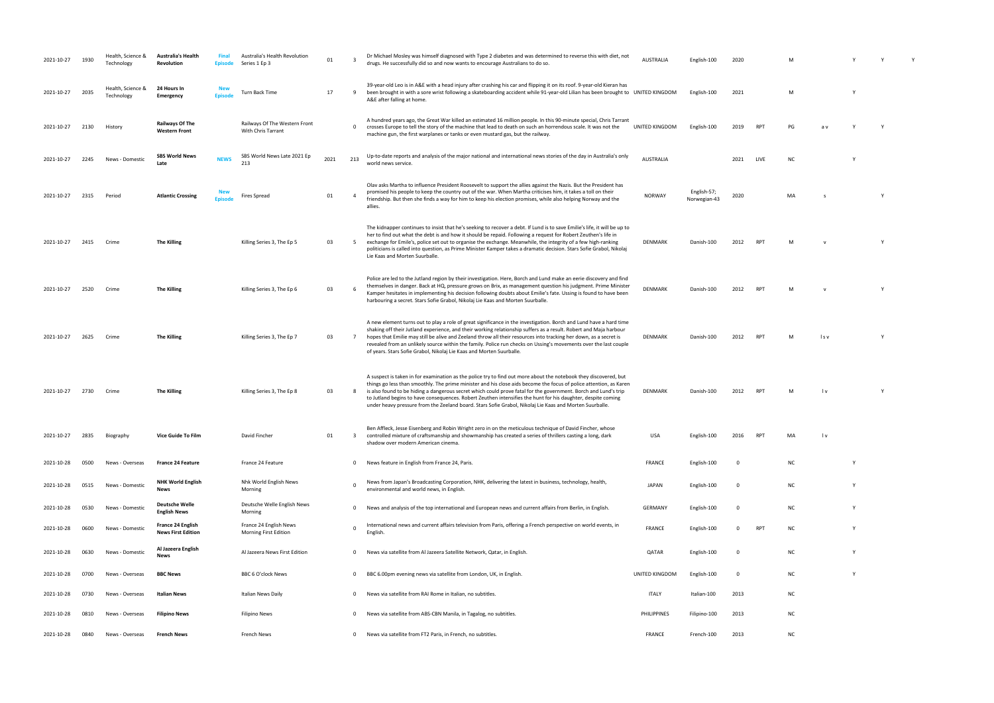| 2021-10-27 | 1930 | Health. Science &<br>Technology | <b>Australia's Health</b><br>Revolution        | Final<br><b>Episode</b> | Australia's Health Revolution<br>Series 1 Ep 3      | 01   | $\overline{\mathbf{3}}$ | Dr Michael Mosley was himself diagnosed with Type 2 diabetes and was determined to reverse this with diet, not<br>drugs. He successfully did so and now wants to encourage Australians to do so.                                                                                                                                                                                                                                                                                                                                                                                     | <b>AUSTRALIA</b>   | English-100                 | 2020        |                 | M         |                         |          |          |  |
|------------|------|---------------------------------|------------------------------------------------|-------------------------|-----------------------------------------------------|------|-------------------------|--------------------------------------------------------------------------------------------------------------------------------------------------------------------------------------------------------------------------------------------------------------------------------------------------------------------------------------------------------------------------------------------------------------------------------------------------------------------------------------------------------------------------------------------------------------------------------------|--------------------|-----------------------------|-------------|-----------------|-----------|-------------------------|----------|----------|--|
| 2021-10-27 | 2035 | Health, Science &<br>Technology | 24 Hours In<br>Emergency                       | Episode                 | <b>Turn Back Time</b>                               | 17   | 9                       | 39-year-old Leo is in A&E with a head injury after crashing his car and flipping it on its roof. 9-year-old Kieran has<br>been brought in with a sore wrist following a skateboarding accident while 91-year-old Lilian has been brought to UNITED KINGDOM<br>A&E after falling at home.                                                                                                                                                                                                                                                                                             |                    | English-100                 | 2021        |                 | M         |                         |          |          |  |
| 2021-10-27 | 2130 | History                         | <b>Railways Of The</b><br><b>Western Front</b> |                         | Railways Of The Western Front<br>With Chris Tarrant |      | $\mathbf{0}$            | A hundred years ago, the Great War killed an estimated 16 million people. In this 90-minute special, Chris Tarrant<br>crosses Europe to tell the story of the machine that lead to death on such an horrendous scale. It was not the<br>machine gun, the first warplanes or tanks or even mustard gas, but the railway.                                                                                                                                                                                                                                                              | UNITED KINGDOM     | English-100                 | 2019        | RP <sub>1</sub> | PG        | a۱.                     |          |          |  |
| 2021-10-27 | 2245 | News - Domestic                 | <b>SBS World News</b><br>Late                  | <b>NEWS</b>             | SBS World News Late 2021 Ep<br>213                  | 2021 | 213                     | Up-to-date reports and analysis of the major national and international news stories of the day in Australia's only<br>world news service.                                                                                                                                                                                                                                                                                                                                                                                                                                           | <b>AUSTRALIA</b>   |                             | 2021        | LIVE            | NC        |                         |          |          |  |
| 2021-10-27 | 2315 | Period                          | <b>Atlantic Crossing</b>                       | Episode                 | <b>Fires Spread</b>                                 | 01   | $\overline{4}$          | Olav asks Martha to influence President Roosevelt to support the allies against the Nazis. But the President has<br>promised his people to keep the country out of the war. When Martha criticises him, it takes a toll on their<br>friendship. But then she finds a way for him to keep his election promises, while also helping Norway and the<br>allies.                                                                                                                                                                                                                         | <b>NORWAY</b>      | English-57;<br>Norwegian-43 | 2020        |                 | MA        |                         |          |          |  |
| 2021-10-27 | 2415 | Crime                           | <b>The Killing</b>                             |                         | Killing Series 3, The Ep 5                          | 03   | 5                       | The kidnapper continues to insist that he's seeking to recover a debt. If Lund is to save Emilie's life, it will be up to<br>her to find out what the debt is and how it should be repaid. Following a request for Robert Zeuthen's life in<br>exchange for Emile's, police set out to organise the exchange. Meanwhile, the integrity of a few high-ranking<br>politicians is called into question, as Prime Minister Kamper takes a dramatic decision. Stars Sofie Grabol, Nikolaj<br>Lie Kaas and Morten Suurballe.                                                               | DENMARK            | Danish-100                  | 2012        | RP <sub>1</sub> | M         |                         |          | <b>V</b> |  |
| 2021-10-27 | 2520 | Crime                           | <b>The Killing</b>                             |                         | Killing Series 3, The Ep 6                          | 03   | 6                       | Police are led to the Jutland region by their investigation. Here, Borch and Lund make an eerie discovery and find<br>themselves in danger. Back at HQ, pressure grows on Brix, as management question his judgment. Prime Minister<br>Kamper hesitates in implementing his decision following doubts about Emilie's fate. Ussing is found to have been<br>harbouring a secret. Stars Sofie Grabol, Nikolaj Lie Kaas and Morten Suurballe.                                                                                                                                           | DENMARK            | Danish-100                  | 2012        | RP <sub>1</sub> | M         |                         |          |          |  |
| 2021-10-27 | 2625 | Crime                           | <b>The Killing</b>                             |                         | Killing Series 3, The Ep 7                          | 03   | $\overline{7}$          | A new element turns out to play a role of great significance in the investigation. Borch and Lund have a hard time<br>shaking off their Jutland experience, and their working relationship suffers as a result. Robert and Maja harbour<br>hopes that Emilie may still be alive and Zeeland throw all their resources into tracking her down, as a secret is<br>revealed from an unlikely source within the family. Police run checks on Ussing's movements over the last couple<br>of years. Stars Sofie Grabol, Nikolaj Lie Kaas and Morten Suurballe.                             | DENMARK            | Danish-100                  | 2012        | RP <sub>1</sub> | M         | l s v                   |          |          |  |
| 2021-10-27 | 2730 | Crime                           | <b>The Killing</b>                             |                         | Killing Series 3, The Ep 8                          | 03   | 8                       | A suspect is taken in for examination as the police try to find out more about the notebook they discovered, but<br>things go less than smoothly. The prime minister and his close aids become the focus of police attention, as Karen<br>is also found to be hiding a dangerous secret which could prove fatal for the government. Borch and Lund's trip<br>to Jutland begins to have consequences. Robert Zeuthen intensifies the hunt for his daughter, despite coming<br>under heavy pressure from the Zeeland board. Stars Sofie Grabol, Nikolaj Lie Kaas and Morten Suurballe. | DENMARK            | Danish-100                  | 2012        | RP <sub>1</sub> | M         | $\mathsf{I} \mathsf{v}$ |          |          |  |
| 2021-10-27 | 2835 | Biography                       | Vice Guide To Film                             |                         | David Fincher                                       | 01   | 3                       | Ben Affleck, Jesse Eisenberg and Robin Wright zero in on the meticulous technique of David Fincher, whose<br>controlled mixture of craftsmanship and showmanship has created a series of thrillers casting a long, dark<br>shadow over modern American cinema.                                                                                                                                                                                                                                                                                                                       | <b>USA</b>         | English-100                 | 2016        | RP <sub>1</sub> | MA        | l v                     |          |          |  |
| 2021-10-28 | 0500 | News - Overseas                 | <b>France 24 Feature</b>                       |                         | France 24 Feature                                   |      | 0                       | News feature in English from France 24, Paris.                                                                                                                                                                                                                                                                                                                                                                                                                                                                                                                                       | FRANCE             | English-100                 | - 0         |                 | <b>NC</b> |                         |          |          |  |
| 2021-10-28 | 0515 | News - Domestic                 | <b>NHK World English</b><br>News               |                         | Nhk World English News<br>Morning                   |      | $\Omega$                | News from Japan's Broadcasting Corporation, NHK, delivering the latest in business, technology, health,<br>environmental and world news, in English.                                                                                                                                                                                                                                                                                                                                                                                                                                 | <b>JAPAN</b>       | English-100                 | 0           |                 | NC        |                         | <b>V</b> |          |  |
| 2021-10-28 | 0530 | News - Domestic                 | <b>Deutsche Welle</b><br><b>English News</b>   |                         | Deutsche Welle English News<br>Morning              |      | $\mathbf{0}$            | News and analysis of the top international and European news and current affairs from Berlin, in English.                                                                                                                                                                                                                                                                                                                                                                                                                                                                            | GERMANY            | English-100                 | 0           |                 | ΝC        |                         | Y        |          |  |
| 2021-10-28 | 0600 | News - Domestic                 | France 24 English<br><b>News First Edition</b> |                         | France 24 English News<br>Morning First Edition     |      | $\mathbf 0$             | International news and current affairs television from Paris, offering a French perspective on world events, in<br>English.                                                                                                                                                                                                                                                                                                                                                                                                                                                          | FRANCE             | English-100                 | $\mathbf 0$ | <b>RPT</b>      | <b>NC</b> |                         | Y        |          |  |
| 2021-10-28 | 0630 | News - Domestic                 | Al Jazeera English<br><b>News</b>              |                         | Al Jazeera News First Edition                       |      | $\mathbf{0}$            | News via satellite from Al Jazeera Satellite Network, Qatar, in English.                                                                                                                                                                                                                                                                                                                                                                                                                                                                                                             | QATAR              | English-100                 | $\mathbf 0$ |                 | NC        |                         | Y        |          |  |
| 2021-10-28 | 0700 | News - Overseas                 | <b>BBC News</b>                                |                         | BBC 6 O'clock News                                  |      | $\mathbf{0}$            | BBC 6.00pm evening news via satellite from London, UK, in English.                                                                                                                                                                                                                                                                                                                                                                                                                                                                                                                   | UNITED KINGDOM     | English-100                 | 0           |                 | NC        |                         | Y        |          |  |
| 2021-10-28 | 0730 | News - Overseas                 | Italian News                                   |                         | Italian News Daily                                  |      | $\mathbf{0}$            | News via satellite from RAI Rome in Italian, no subtitles.                                                                                                                                                                                                                                                                                                                                                                                                                                                                                                                           | <b>ITALY</b>       | Italian-100                 | 2013        |                 | NC        |                         |          |          |  |
| 2021-10-28 | 0810 | News - Overseas                 | <b>Filipino News</b>                           |                         | Filipino News                                       |      | 0                       | News via satellite from ABS-CBN Manila, in Tagalog, no subtitles.                                                                                                                                                                                                                                                                                                                                                                                                                                                                                                                    | <b>PHILIPPINES</b> | Filipino-100                | 2013        |                 | <b>NC</b> |                         |          |          |  |
| 2021-10-28 | 0840 | News - Overseas                 | <b>French News</b>                             |                         | French News                                         |      |                         | 0 News via satellite from FT2 Paris, in French, no subtitles.                                                                                                                                                                                                                                                                                                                                                                                                                                                                                                                        | FRANCE             | French-100                  | 2013        |                 | <b>NC</b> |                         |          |          |  |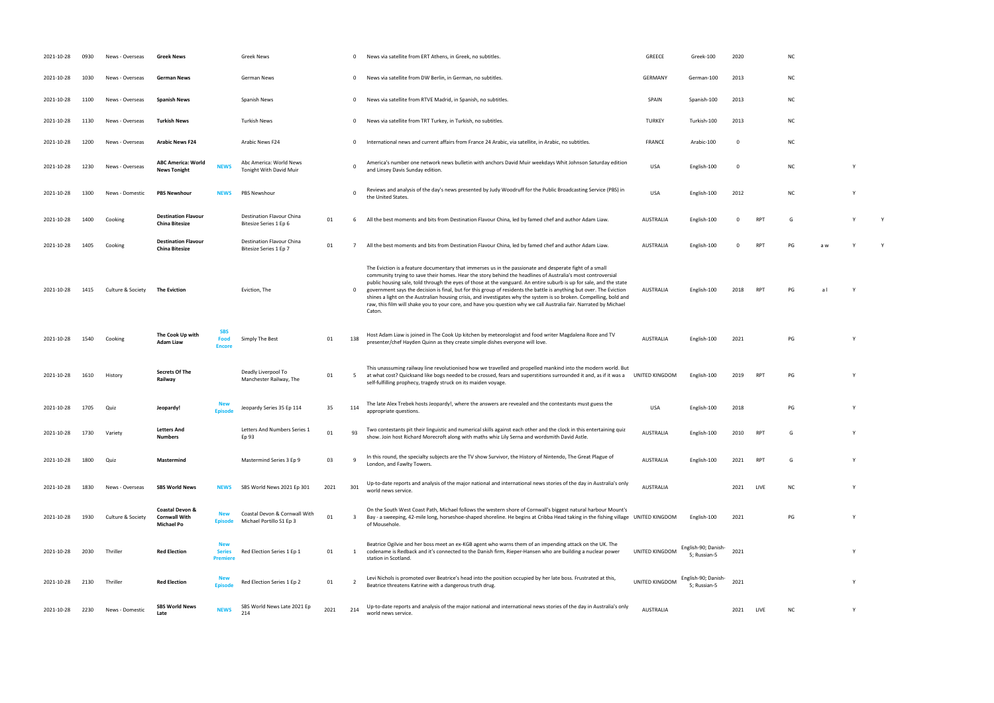- 
- 
- 
- the United States and States. USA English-100 2012 NC 2012 NC 2012 NC 2012 NC 2012 NC 2012 NC 2012 NC 2012 NC 2012 NC 2012 NC 2012 NC 2012 NC 2012 NC 2012 NC 2012 NC 2012 NC 2012 NC 2012 NC 2012 NC 2012 NC 2012 NC 2012 NC
- Bitesize Series 1 Ep 6 <sup>01</sup> <sup>6</sup> All the best moments and bits from Destination Flavour China, led by famed chef and author Adam Liaw. AUSTRALIA English-100 <sup>0</sup> RPT <sup>G</sup> <sup>Y</sup> <sup>Y</sup>
- 
- RPT PG al Y
- presenter/chef Hayden Quinn as they create simple dishes everyone will love. AUSTRALIA English-100 <sup>2021</sup> PG <sup>Y</sup>
- $RPT$  PG Y
- 
- 
- 
- 
- PG Y 5; Russian-5 <sup>2021</sup> <sup>Y</sup>
- 5; Russian-5 <sup>2021</sup> <sup>Y</sup>
	-
- 
- 
- 
- 
- 
- 
- 
- -

| 2021-10-28 | 0930 | News - Overseas   | <b>Greek News</b>                                     |                                               | Greek News                                                |      |              | News via satellite from ERT Athens, in Greek, no subtitles.                                                                                                                                                                                                                                                                                                                                                                                                                                                                                                                                                                                                                                                                 | <b>GREECE</b>    | Greek-100                           | 2020        |            | ΝC        |     |   |  |
|------------|------|-------------------|-------------------------------------------------------|-----------------------------------------------|-----------------------------------------------------------|------|--------------|-----------------------------------------------------------------------------------------------------------------------------------------------------------------------------------------------------------------------------------------------------------------------------------------------------------------------------------------------------------------------------------------------------------------------------------------------------------------------------------------------------------------------------------------------------------------------------------------------------------------------------------------------------------------------------------------------------------------------------|------------------|-------------------------------------|-------------|------------|-----------|-----|---|--|
| 2021-10-28 | 1030 | News - Overseas   | German News                                           |                                               | German News                                               |      | $\mathbf{0}$ | News via satellite from DW Berlin, in German, no subtitles.                                                                                                                                                                                                                                                                                                                                                                                                                                                                                                                                                                                                                                                                 | <b>GERMANY</b>   | German-100                          | 2013        |            | <b>NC</b> |     |   |  |
| 2021-10-28 | 1100 | News - Overseas   | <b>Spanish News</b>                                   |                                               | Spanish News                                              |      | $\mathbf 0$  | News via satellite from RTVE Madrid, in Spanish, no subtitles.                                                                                                                                                                                                                                                                                                                                                                                                                                                                                                                                                                                                                                                              | SPAIN            | Spanish-100                         | 2013        |            | ΝC        |     |   |  |
| 2021-10-28 | 1130 | News - Overseas   | <b>Turkish News</b>                                   |                                               | <b>Turkish News</b>                                       |      | $\mathbf 0$  | News via satellite from TRT Turkey, in Turkish, no subtitles.                                                                                                                                                                                                                                                                                                                                                                                                                                                                                                                                                                                                                                                               | <b>TURKEY</b>    | Turkish-100                         | 2013        |            | <b>NC</b> |     |   |  |
| 2021-10-28 | 1200 | News - Overseas   | <b>Arabic News F24</b>                                |                                               | Arabic News F24                                           |      | $\mathbf{0}$ | International news and current affairs from France 24 Arabic, via satellite, in Arabic, no subtitles.                                                                                                                                                                                                                                                                                                                                                                                                                                                                                                                                                                                                                       | <b>FRANCE</b>    | Arabic-100                          | $^{\circ}$  |            | <b>NC</b> |     |   |  |
| 2021-10-28 | 1230 | News - Overseas   | <b>ABC America: World</b><br><b>News Tonight</b>      | <b>NEWS</b>                                   | Abc America: World News<br>Tonight With David Muir        |      |              | America's number one network news bulletin with anchors David Muir weekdays Whit Johnson Saturday edition<br>and Linsey Davis Sunday edition.                                                                                                                                                                                                                                                                                                                                                                                                                                                                                                                                                                               | <b>USA</b>       | English-100                         | $\mathbf 0$ |            | <b>NC</b> |     | Υ |  |
| 2021-10-28 | 1300 | News - Domestic   | <b>PBS Newshour</b>                                   | <b>NEWS</b>                                   | PBS Newshour                                              |      | $\Omega$     | Reviews and analysis of the day's news presented by Judy Woodruff for the Public Broadcasting Service (PBS) in<br>the United States.                                                                                                                                                                                                                                                                                                                                                                                                                                                                                                                                                                                        | <b>USA</b>       | English-100                         | 2012        |            | <b>NC</b> |     |   |  |
| 2021-10-28 | 1400 | Cooking           | <b>Destination Flavour</b><br>China Bitesize          |                                               | Destination Flavour China<br>Bitesize Series 1 Ep 6       | 01   | 6            | All the best moments and bits from Destination Flavour China, led by famed chef and author Adam Liaw.                                                                                                                                                                                                                                                                                                                                                                                                                                                                                                                                                                                                                       | <b>AUSTRALIA</b> | English-100                         | 0           | <b>RPT</b> | G         |     |   |  |
| 2021-10-28 | 1405 | Cooking           | <b>Destination Flavour</b><br>China Bitesize          |                                               | Destination Flavour China<br>Bitesize Series 1 Ep 7       | 01   | $7^{\circ}$  | All the best moments and bits from Destination Flavour China, led by famed chef and author Adam Liaw.                                                                                                                                                                                                                                                                                                                                                                                                                                                                                                                                                                                                                       | <b>AUSTRALIA</b> | English-100                         | 0           | <b>RPT</b> | PG        | a w |   |  |
| 2021-10-28 | 1415 | Culture & Society | <b>The Eviction</b>                                   |                                               | Eviction, The                                             |      | $\mathbf{0}$ | The Eviction is a feature documentary that immerses us in the passionate and desperate fight of a small<br>community trying to save their homes. Hear the story behind the headlines of Australia's most controversial<br>public housing sale, told through the eyes of those at the vanguard. An entire suburb is up for sale, and the state<br>government says the decision is final, but for this group of residents the battle is anything but over. The Eviction<br>shines a light on the Australian housing crisis, and investigates why the system is so broken. Compelling, bold and<br>raw, this film will shake you to your core, and have you question why we call Australia fair. Narrated by Michael<br>Caton. | AUSTRALIA        | English-100                         | 2018        | RPT        | PG        | a l |   |  |
| 2021-10-28 | 1540 | Cooking           | The Cook Up with<br>Adam Liaw                         | <b>SBS</b><br>Food<br><b>Encore</b>           | Simply The Best                                           | 01   | 138          | Host Adam Liaw is joined in The Cook Up kitchen by meteorologist and food writer Magdalena Roze and TV<br>presenter/chef Hayden Quinn as they create simple dishes everyone will love.                                                                                                                                                                                                                                                                                                                                                                                                                                                                                                                                      | <b>AUSTRALIA</b> | English-100                         | 2021        |            | PG        |     |   |  |
| 2021-10-28 | 1610 | History           | <b>Secrets Of The</b><br>Railway                      |                                               | Deadly Liverpool To<br>Manchester Railway, The            | 01   | - 5          | This unassuming railway line revolutionised how we travelled and propelled mankind into the modern world. But<br>at what cost? Quicksand like bogs needed to be crossed, fears and superstitions surrounded it and, as if it was a<br>self-fulfilling prophecy, tragedy struck on its maiden voyage.                                                                                                                                                                                                                                                                                                                                                                                                                        | UNITED KINGDOM   | English-100                         | 2019        | RPT        | PG        |     |   |  |
| 2021-10-28 | 1705 | Quiz              | Jeopardy!                                             | <b>Episode</b>                                | Jeopardy Series 35 Ep 114                                 | 35   | 114          | The late Alex Trebek hosts Jeopardy!, where the answers are revealed and the contestants must guess the<br>appropriate questions.                                                                                                                                                                                                                                                                                                                                                                                                                                                                                                                                                                                           | <b>USA</b>       | English-100                         | 2018        |            | PG        |     |   |  |
| 2021-10-28 | 1730 | Variety           | <b>Letters And</b><br>Numbers                         |                                               | Letters And Numbers Series 1<br>Ep 93                     | 01   | 93           | Two contestants pit their linguistic and numerical skills against each other and the clock in this entertaining quiz<br>show. Join host Richard Morecroft along with maths whiz Lily Serna and wordsmith David Astle.                                                                                                                                                                                                                                                                                                                                                                                                                                                                                                       | <b>AUSTRALIA</b> | English-100                         | 2010        | <b>RPT</b> | G         |     |   |  |
| 2021-10-28 | 1800 | Quiz              | Mastermind                                            |                                               | Mastermind Series 3 Ep 9                                  | 03   | - q          | In this round, the specialty subjects are the TV show Survivor, the History of Nintendo, The Great Plague of<br>London, and Fawlty Towers.                                                                                                                                                                                                                                                                                                                                                                                                                                                                                                                                                                                  | <b>AUSTRALIA</b> | English-100                         | 2021        | <b>RPT</b> | G         |     |   |  |
| 2021-10-28 | 1830 | News - Overseas   | <b>SBS World News</b>                                 | <b>NEWS</b>                                   | SBS World News 2021 Ep 301                                | 2021 | 301          | Up-to-date reports and analysis of the major national and international news stories of the day in Australia's only<br>world news service.                                                                                                                                                                                                                                                                                                                                                                                                                                                                                                                                                                                  | <b>AUSTRALIA</b> |                                     | 2021        | LIVE       | <b>NC</b> |     | Y |  |
| 2021-10-28 | 1930 | Culture & Society | Coastal Devon &<br><b>Cornwall With</b><br>Michael Po | <b>New</b><br><b>Episode</b>                  | Coastal Devon & Cornwall With<br>Michael Portillo S1 Ep 3 | 01   | -3           | On the South West Coast Path, Michael follows the western shore of Cornwall's biggest natural harbour Mount's<br>Bay - a sweeping, 42-mile long, horseshoe-shaped shoreline. He begins at Cribba Head taking in the fishing village UNITED KINGDOM<br>of Mousehole.                                                                                                                                                                                                                                                                                                                                                                                                                                                         |                  | English-100                         | 2021        |            | PG        |     |   |  |
| 2021-10-28 | 2030 | Thriller          | <b>Red Election</b>                                   | <b>New</b><br><b>Series</b><br><b>Premier</b> | Red Election Series 1 Ep 1                                | 01   | 1            | Beatrice Ogilvie and her boss meet an ex-KGB agent who warns them of an impending attack on the UK. The<br>codename is Redback and it's connected to the Danish firm, Rieper-Hansen who are building a nuclear power<br>station in Scotland.                                                                                                                                                                                                                                                                                                                                                                                                                                                                                | UNITED KINGDOM   | English-90; Danish-<br>5; Russian-5 | 2021        |            |           |     |   |  |
| 2021-10-28 | 2130 | Thriller          | <b>Red Election</b>                                   | <b>New</b><br><b>Episode</b>                  | Red Election Series 1 Ep 2                                | 01   |              | Levi Nichols is promoted over Beatrice's head into the position occupied by her late boss. Frustrated at this,<br>Beatrice threatens Katrine with a dangerous truth drug.                                                                                                                                                                                                                                                                                                                                                                                                                                                                                                                                                   | UNITED KINGDOM   | English-90; Danish-<br>5; Russian-5 | 2021        |            |           |     |   |  |
| 2021-10-28 | 2230 | News - Domestic   | <b>SBS World News</b><br>Late                         | <b>NEWS</b>                                   | SBS World News Late 2021 Ep<br>214                        | 2021 | 214          | Up-to-date reports and analysis of the major national and international news stories of the day in Australia's only<br>world news service.                                                                                                                                                                                                                                                                                                                                                                                                                                                                                                                                                                                  | AUSTRALIA        |                                     | 2021        | LIVE       | ΝC        |     | Y |  |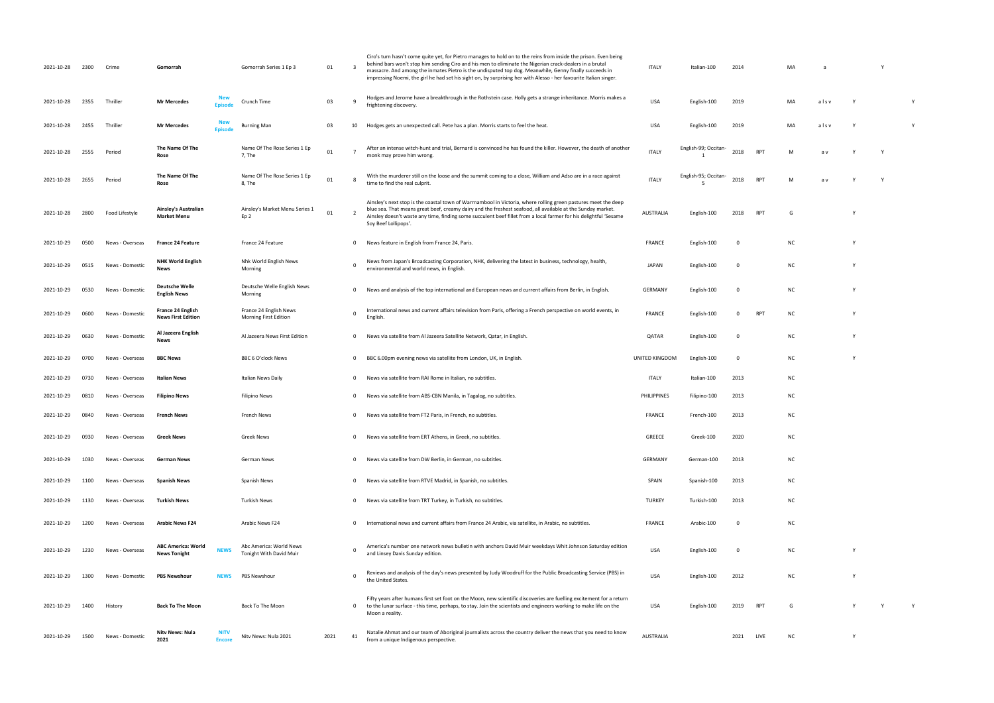| 2021-10-28 | 2300 | Crime           | Gomorrah                                         |                              | Gomorrah Series 1 Ep 3                             | 01   | $\overline{\mathbf{3}}$ | Ciro's turn hasn't come quite yet, for Pietro manages to hold on to the reins from inside the prison. Even being<br>behind bars won't stop him sending Ciro and his men to eliminate the Nigerian crack-dealers in a brutal<br>massacre. And among the inmates Pietro is the undisputed top dog. Meanwhile, Genny finally succeeds in<br>impressing Noemi, the girl he had set his sight on, by surprising her with Alesso - her favourite Italian singer. | <b>ITALY</b>   | Italian-100          | 2014                    |            | MA        |      |          | Y |   |
|------------|------|-----------------|--------------------------------------------------|------------------------------|----------------------------------------------------|------|-------------------------|------------------------------------------------------------------------------------------------------------------------------------------------------------------------------------------------------------------------------------------------------------------------------------------------------------------------------------------------------------------------------------------------------------------------------------------------------------|----------------|----------------------|-------------------------|------------|-----------|------|----------|---|---|
| 2021-10-28 | 2355 | Thriller        | <b>Mr Mercedes</b>                               | <b>Fnisode</b>               | Crunch Time                                        | 03   | - 9                     | Hodges and Jerome have a breakthrough in the Rothstein case. Holly gets a strange inheritance. Morris makes a<br>frightening discovery.                                                                                                                                                                                                                                                                                                                    | <b>USA</b>     | English-100          | 2019                    |            | MA        | alsv |          |   |   |
| 2021-10-28 | 2455 | Thriller        | <b>Mr Mercedes</b>                               | <b>Episod</b>                | <b>Burning Man</b>                                 | 03   | 10                      | Hodges gets an unexpected call. Pete has a plan. Morris starts to feel the heat.                                                                                                                                                                                                                                                                                                                                                                           | <b>USA</b>     | English-100          | 2019                    |            | MA        | alsv |          |   | Y |
| 2021-10-28 | 2555 | Period          | The Name Of The<br>Rose                          |                              | Name Of The Rose Series 1 Ep<br>7, The             | 01   |                         | After an intense witch-hunt and trial, Bernard is convinced he has found the killer. However, the death of another<br>monk may prove him wrong.                                                                                                                                                                                                                                                                                                            | <b>ITALY</b>   | English-99; Occitan- | 2018                    | <b>RPT</b> | M         | a v  |          |   |   |
| 2021-10-28 | 2655 | Period          | The Name Of The<br>Rose                          |                              | Name Of The Rose Series 1 Ep<br>8, The             | 01   |                         | With the murderer still on the loose and the summit coming to a close, William and Adso are in a race against<br>time to find the real culprit.                                                                                                                                                                                                                                                                                                            | <b>ITALY</b>   | English-95; Occitan- | 2018                    | <b>RPT</b> | M         | a v  |          |   |   |
| 2021-10-28 | 2800 | Food Lifestyle  | Ainsley's Australian<br><b>Market Menu</b>       |                              | Ainsley's Market Menu Series 1<br>Ep 2             | 01   |                         | Ainsley's next stop is the coastal town of Warrnambool in Victoria, where rolling green pastures meet the deep<br>blue sea. That means great beef, creamy dairy and the freshest seafood, all available at the Sunday market.<br>Ainsley doesn't waste any time, finding some succulent beef fillet from a local farmer for his delightful 'Sesame<br>Soy Beef Lollipops'.                                                                                 | AUSTRALIA      | English-100          | 2018                    | RPT        | G         |      |          |   |   |
| 2021-10-29 | 0500 | News - Overseas | <b>France 24 Feature</b>                         |                              | France 24 Feature                                  |      | 0                       | News feature in English from France 24, Paris.                                                                                                                                                                                                                                                                                                                                                                                                             | FRANCE         | English-100          | $\mathbf 0$             |            | NC.       |      |          |   |   |
| 2021-10-29 | 0515 | News - Domestic | <b>NHK World English</b><br><b>News</b>          |                              | Nhk World English News<br>Morning                  |      | $\mathbf 0$             | News from Japan's Broadcasting Corporation, NHK, delivering the latest in business, technology, health,<br>environmental and world news, in English.                                                                                                                                                                                                                                                                                                       | <b>JAPAN</b>   | English-100          | $\Omega$                |            | NC        |      |          |   |   |
| 2021-10-29 | 0530 | News - Domestic | <b>Deutsche Welle</b><br><b>English News</b>     |                              | Deutsche Welle English News<br>Morning             |      | 0                       | News and analysis of the top international and European news and current affairs from Berlin, in English.                                                                                                                                                                                                                                                                                                                                                  | GERMANY        | English-100          | $\mathbf 0$             |            | NC.       |      | <b>V</b> |   |   |
| 2021-10-29 | 0600 | News - Domestic | France 24 English<br><b>News First Edition</b>   |                              | France 24 English News<br>Morning First Edition    |      | $\mathbf 0$             | International news and current affairs television from Paris, offering a French perspective on world events, in<br>English                                                                                                                                                                                                                                                                                                                                 | FRANCE         | English-100          | $^{\circ}$              | RPT        | NC.       |      |          |   |   |
| 2021-10-29 | 0630 | News - Domestic | Al Jazeera English<br>News                       |                              | Al Jazeera News First Edition                      |      | $^{\circ}$              | News via satellite from Al Jazeera Satellite Network, Qatar, in English.                                                                                                                                                                                                                                                                                                                                                                                   | QATAR          | English-100          | $\mathbf 0$             |            | NC.       |      |          |   |   |
| 2021-10-29 | 0700 | News - Overseas | <b>BBC News</b>                                  |                              | <b>BBC 6 O'clock News</b>                          |      | 0                       | BBC 6.00pm evening news via satellite from London, UK, in English.                                                                                                                                                                                                                                                                                                                                                                                         | UNITED KINGDOM | English-100          | $\mathbf 0$             |            | NC.       |      |          |   |   |
| 2021-10-29 | 0730 | News - Overseas | Italian News                                     |                              | Italian News Daily                                 |      | $\mathbf 0$             | News via satellite from RAI Rome in Italian, no subtitles.                                                                                                                                                                                                                                                                                                                                                                                                 | ITALY          | Italian-100          | 2013                    |            | NC.       |      |          |   |   |
| 2021-10-29 | 0810 | News - Overseas | <b>Filipino News</b>                             |                              | <b>Filipino News</b>                               |      | $\mathbf 0$             | News via satellite from ABS-CBN Manila, in Tagalog, no subtitles.                                                                                                                                                                                                                                                                                                                                                                                          | PHILIPPINES    | Filipino-100         | 2013                    |            | <b>NC</b> |      |          |   |   |
| 2021-10-29 | 0840 | News - Overseas | <b>French News</b>                               |                              | French News                                        |      | $^{\circ}$              | News via satellite from FT2 Paris, in French, no subtitles.                                                                                                                                                                                                                                                                                                                                                                                                | <b>FRANCE</b>  | French-100           | 2013                    |            | NC.       |      |          |   |   |
| 2021-10-29 | 0930 | News - Overseas | <b>Greek News</b>                                |                              | Greek News                                         |      | $\mathbf 0$             | News via satellite from ERT Athens, in Greek, no subtitles.                                                                                                                                                                                                                                                                                                                                                                                                | <b>GREECE</b>  | Greek-100            | 2020                    |            | <b>NC</b> |      |          |   |   |
| 2021-10-29 | 1030 | News - Overseas | German News                                      |                              | German News                                        |      | $\mathbf 0$             | News via satellite from DW Berlin, in German, no subtitles.                                                                                                                                                                                                                                                                                                                                                                                                | GERMANY        | German-100           | 2013                    |            | <b>NC</b> |      |          |   |   |
| 2021-10-29 | 1100 | News - Overseas | <b>Spanish News</b>                              |                              | Spanish News                                       |      | $\mathbf 0$             | News via satellite from RTVE Madrid, in Spanish, no subtitles.                                                                                                                                                                                                                                                                                                                                                                                             | SPAIN          | Spanish-100          | 2013                    |            | <b>NC</b> |      |          |   |   |
| 2021-10-29 | 1130 | News - Overseas | Turkish News                                     |                              | <b>Turkish News</b>                                |      | 0                       | News via satellite from TRT Turkey, in Turkish, no subtitles.                                                                                                                                                                                                                                                                                                                                                                                              | <b>TURKEY</b>  | Turkish-100          | 2013                    |            | NC.       |      |          |   |   |
| 2021-10-29 | 1200 | News - Overseas | <b>Arabic News F24</b>                           |                              | Arabic News F24                                    |      | $^{\circ}$              | International news and current affairs from France 24 Arabic, via satellite, in Arabic, no subtitles.                                                                                                                                                                                                                                                                                                                                                      | <b>FRANCE</b>  | Arabic-100           | $\overline{\mathbf{0}}$ |            | NC.       |      |          |   |   |
| 2021-10-29 | 1230 | News - Overseas | <b>ABC America: World</b><br><b>News Tonight</b> | <b>NEWS</b>                  | Abc America: World News<br>Tonight With David Muir |      | $\Omega$                | America's number one network news bulletin with anchors David Muir weekdays Whit Johnson Saturday edition<br>and Linsey Davis Sunday edition.                                                                                                                                                                                                                                                                                                              | USA            | English-100          | $\mathbf 0$             |            | NC.       |      | Y        |   |   |
| 2021-10-29 | 1300 | News - Domestic | <b>PBS Newshour</b>                              | NEWS                         | PBS Newshour                                       |      | $\mathbf 0$             | Reviews and analysis of the day's news presented by Judy Woodruff for the Public Broadcasting Service (PBS) in<br>the United States.                                                                                                                                                                                                                                                                                                                       | <b>USA</b>     | English-100          | 2012                    |            | NC.       |      |          |   |   |
| 2021-10-29 | 1400 | History         | <b>Back To The Moon</b>                          |                              | Back To The Moon                                   |      | $\mathbf 0$             | Fifty years after humans first set foot on the Moon, new scientific discoveries are fuelling excitement for a return<br>to the lunar surface - this time, perhaps, to stay. Join the scientists and engineers working to make life on the<br>Moon a reality.                                                                                                                                                                                               | USA            | English-100          | 2019                    | RPT        | G         |      |          |   |   |
| 2021-10-29 | 1500 | News - Domestic | Nity News: Nula<br>2021                          | <b>NITV</b><br><b>Encore</b> | Nitv News: Nula 2021                               | 2021 | 41                      | Natalie Ahmat and our team of Aboriginal journalists across the country deliver the news that you need to know<br>from a unique Indigenous perspective.                                                                                                                                                                                                                                                                                                    | AUSTRALIA      |                      | 2021                    | LIVE       | NC.       |      |          |   |   |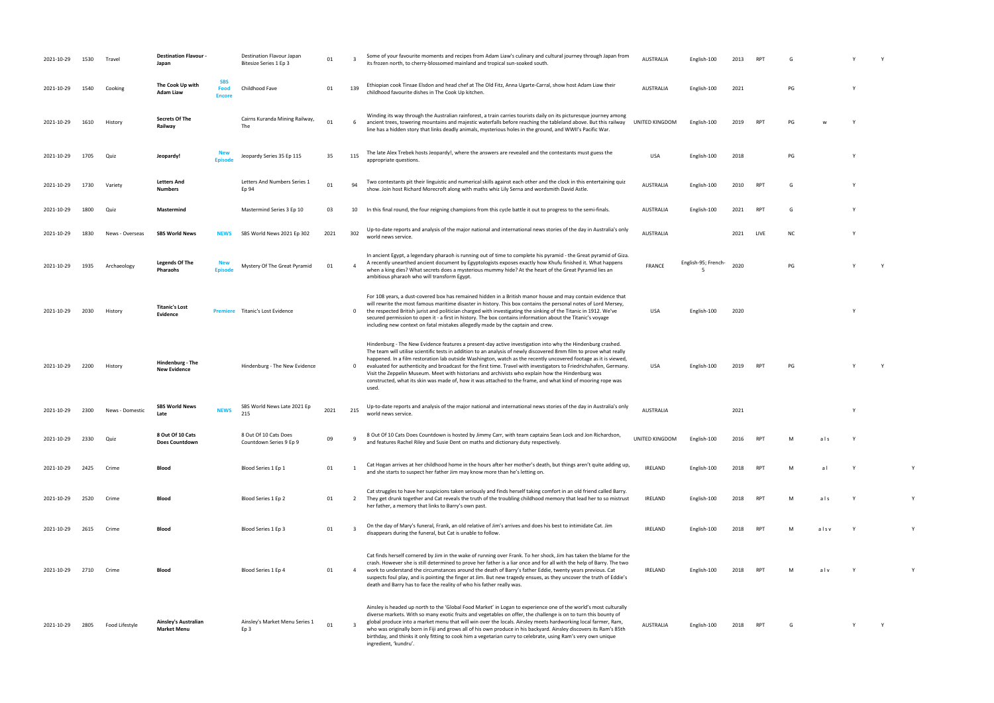| 2021-10-29 | 1530 | Travel          | <b>Destination Flavour -</b><br>Japan      |                                     | <b>Destination Flavour Japan</b><br>Bitesize Series 1 Ep 3 | 01   |     | Some of your favourite moments and recipes from Adam Liaw's culinary and cultural journey through Japan from<br>its frozen north, to cherry-blossomed mainland and tropical sun-soaked south.                                                                                                                                                                                                                                                                                                                                                                                                                                                                                                             | <b>AUSTRALIA</b> | English-100         |      |            |           |      |  |   |
|------------|------|-----------------|--------------------------------------------|-------------------------------------|------------------------------------------------------------|------|-----|-----------------------------------------------------------------------------------------------------------------------------------------------------------------------------------------------------------------------------------------------------------------------------------------------------------------------------------------------------------------------------------------------------------------------------------------------------------------------------------------------------------------------------------------------------------------------------------------------------------------------------------------------------------------------------------------------------------|------------------|---------------------|------|------------|-----------|------|--|---|
| 2021-10-29 | 1540 | Cooking         | The Cook Up with<br><b>Adam Liaw</b>       | <b>SBS</b><br>Food<br><b>Encore</b> | Childhood Fave                                             | 01   | 139 | Ethiopian cook Tinsae Elsdon and head chef at The Old Fitz, Anna Ugarte-Carral, show host Adam Liaw their<br>childhood favourite dishes in The Cook Up kitchen.                                                                                                                                                                                                                                                                                                                                                                                                                                                                                                                                           | AUSTRALIA        | English-100         | 2021 |            | PG        |      |  |   |
| 2021-10-29 | 1610 | History         | <b>Secrets Of The</b><br>Railway           |                                     | Cairns Kuranda Mining Railway,<br>The                      | 01   | 6   | Winding its way through the Australian rainforest, a train carries tourists daily on its picturesque journey among<br>ancient trees, towering mountains and majestic waterfalls before reaching the tableland above. But this railway UNITED KINGDOM<br>line has a hidden story that links deadly animals, mysterious holes in the ground, and WWII's Pacific War.                                                                                                                                                                                                                                                                                                                                        |                  | English-100         | 2019 | <b>RPT</b> | PG        |      |  |   |
| 2021-10-29 | 1705 | Quiz            | Jeopardy!                                  | <b>Episod</b>                       | Jeopardy Series 35 Ep 115                                  | 35   | 115 | The late Alex Trebek hosts Jeopardy!, where the answers are revealed and the contestants must guess the<br>appropriate questions.                                                                                                                                                                                                                                                                                                                                                                                                                                                                                                                                                                         | USA              | English-100         | 2018 |            | PG        |      |  |   |
| 2021-10-29 | 1730 | Variety         | <b>Letters And</b><br><b>Numbers</b>       |                                     | Letters And Numbers Series 1<br>Ep 94                      | 01   | 94  | Two contestants pit their linguistic and numerical skills against each other and the clock in this entertaining quiz<br>show. Join host Richard Morecroft along with maths whiz Lily Serna and wordsmith David Astle.                                                                                                                                                                                                                                                                                                                                                                                                                                                                                     | <b>AUSTRALIA</b> | English-100         | 2010 | <b>RPT</b> | G         |      |  |   |
| 2021-10-29 | 1800 | Quiz            | Mastermind                                 |                                     | Mastermind Series 3 Ep 10                                  | 03   | 10  | In this final round, the four reigning champions from this cycle battle it out to progress to the semi-finals.                                                                                                                                                                                                                                                                                                                                                                                                                                                                                                                                                                                            | AUSTRALIA        | English-100         | 2021 | <b>RPT</b> | G         |      |  |   |
| 2021-10-29 | 1830 | News - Overseas | <b>SBS World News</b>                      | <b>NEWS</b>                         | SBS World News 2021 Ep 302                                 | 2021 | 302 | Up-to-date reports and analysis of the major national and international news stories of the day in Australia's only<br>world news service.                                                                                                                                                                                                                                                                                                                                                                                                                                                                                                                                                                | <b>AUSTRALIA</b> |                     | 2021 | LIVE       | <b>NC</b> |      |  |   |
| 2021-10-29 | 1935 | Archaeology     | <b>Legends Of The</b><br>Pharaohs          | <b>New</b><br><b>Episode</b>        | Mystery Of The Great Pyramid                               | 01   |     | In ancient Egypt, a legendary pharaoh is running out of time to complete his pyramid - the Great pyramid of Giza.<br>A recently unearthed ancient document by Egyptologists exposes exactly how Khufu finished it. What happens<br>when a king dies? What secrets does a mysterious mummy hide? At the heart of the Great Pyramid lies an<br>ambitious pharaoh who will transform Egypt.                                                                                                                                                                                                                                                                                                                  | <b>FRANCE</b>    | English-95; French- | 2020 |            | PG        |      |  |   |
| 2021-10-29 | 2030 | History         | <b>Titanic's Lost</b><br><b>Evidence</b>   | <b>Premiere</b>                     | Titanic's Lost Evidence                                    |      | 0   | For 108 years, a dust-covered box has remained hidden in a British manor house and may contain evidence that<br>will rewrite the most famous maritime disaster in history. This box contains the personal notes of Lord Mersey,<br>the respected British jurist and politician charged with investigating the sinking of the Titanic in 1912. We've<br>secured permission to open it - a first in history. The box contains information about the Titanic's voyage<br>including new context on fatal mistakes allegedly made by the captain and crew.                                                                                                                                                     | USA              | English-100         | 2020 |            |           |      |  |   |
| 2021-10-29 | 2200 | History         | Hindenburg - The<br><b>New Evidence</b>    |                                     | Hindenburg - The New Evidence                              |      | 0   | Hindenburg - The New Evidence features a present-day active investigation into why the Hindenburg crashed.<br>The team will utilise scientific tests in addition to an analysis of newly discovered 8mm film to prove what really<br>happened. In a film restoration lab outside Washington, watch as the recently uncovered footage as it is viewed,<br>evaluated for authenticity and broadcast for the first time. Travel with investigators to Friedrichshafen, Germany.<br>Visit the Zeppelin Museum. Meet with historians and archivists who explain how the Hindenburg was<br>constructed, what its skin was made of, how it was attached to the frame, and what kind of mooring rope was<br>used. | USA              | English-100         |      |            | PG        |      |  |   |
| 2021-10-29 | 2300 | News - Domestic | <b>SBS World News</b><br>l ate             | <b>NEWS</b>                         | SBS World News Late 2021 Ep<br>215                         | 2021 | 215 | Up-to-date reports and analysis of the major national and international news stories of the day in Australia's only<br>world news service.                                                                                                                                                                                                                                                                                                                                                                                                                                                                                                                                                                | <b>AUSTRALIA</b> |                     | 2021 |            |           |      |  |   |
| 2021-10-29 | 2330 | Quiz            | 8 Out Of 10 Cats<br><b>Does Countdown</b>  |                                     | 8 Out Of 10 Cats Does<br>Countdown Series 9 Ep 9           | 09   |     | 8 Out Of 10 Cats Does Countdown is hosted by Jimmy Carr, with team captains Sean Lock and Jon Richardson,<br>and features Rachel Riley and Susie Dent on maths and dictionary duty respectively.                                                                                                                                                                                                                                                                                                                                                                                                                                                                                                          | UNITED KINGDOM   | English-100         | 2016 | <b>RPT</b> | м         | als  |  |   |
| 2021-10-29 | 2425 | Crime           | Blood                                      |                                     | Blood Series 1 Ep 1                                        | 01   |     | Cat Hogan arrives at her childhood home in the hours after her mother's death, but things aren't quite adding up,<br>and she starts to suspect her father Jim may know more than he's letting on.                                                                                                                                                                                                                                                                                                                                                                                                                                                                                                         | IRELAND          | English-100         | 2018 | <b>RPT</b> | M         | a l  |  |   |
| 2021-10-29 | 2520 | Crime           | Blood                                      |                                     | Blood Series 1 Ep 2                                        | 01   | 2   | Cat struggles to have her suspicions taken seriously and finds herself taking comfort in an old friend called Barry.<br>They get drunk together and Cat reveals the truth of the troubling childhood memory that lead her to so mistrust<br>her father, a memory that links to Barry's own past.                                                                                                                                                                                                                                                                                                                                                                                                          | IRELAND          | English-100         | 2018 | <b>RPT</b> | M         | als  |  |   |
| 2021-10-29 | 2615 | Crime           | Blood                                      |                                     | Blood Series 1 Ep 3                                        | 01   |     | On the day of Mary's funeral, Frank, an old relative of Jim's arrives and does his best to intimidate Cat. Jim<br>disappears during the funeral, but Cat is unable to follow.                                                                                                                                                                                                                                                                                                                                                                                                                                                                                                                             | IRELAND          | English-100         | 2018 | <b>RPT</b> | M         | alsv |  | Y |
| 2021-10-29 | 2710 | Crime           | Blood                                      |                                     | Blood Series 1 Ep 4                                        | 01   | 4   | Cat finds herself cornered by Jim in the wake of running over Frank. To her shock, Jim has taken the blame for the<br>crash. However she is still determined to prove her father is a liar once and for all with the help of Barry. The two<br>work to understand the circumstances around the death of Barry's father Eddie, twenty years previous. Cat<br>suspects foul play, and is pointing the finger at Jim. But new tragedy ensues, as they uncover the truth of Eddie's<br>death and Barry has to face the reality of who his father really was.                                                                                                                                                  | IRELAND          | English-100         | 2018 | <b>RPT</b> |           | alv  |  |   |
| 2021-10-29 | 2805 | Food Lifestyle  | Ainsley's Australian<br><b>Market Menu</b> |                                     | Ainsley's Market Menu Series 1<br>Ep 3                     | 01   |     | Ainsley is headed up north to the 'Global Food Market' in Logan to experience one of the world's most culturally<br>diverse markets. With so many exotic fruits and vegetables on offer, the challenge is on to turn this bounty of<br>global produce into a market menu that will win over the locals. Ainsley meets hardworking local farmer, Ram,<br>who was originally born in Fiji and grows all of his own produce in his backyard. Ainsley discovers its Ram's 85th<br>birthday, and thinks it only fitting to cook him a vegetarian curry to celebrate, using Ram's very own unique<br>ingredient, 'kundru'.                                                                                      | <b>AUSTRALIA</b> | English-100         | 2018 | <b>RPT</b> |           |      |  |   |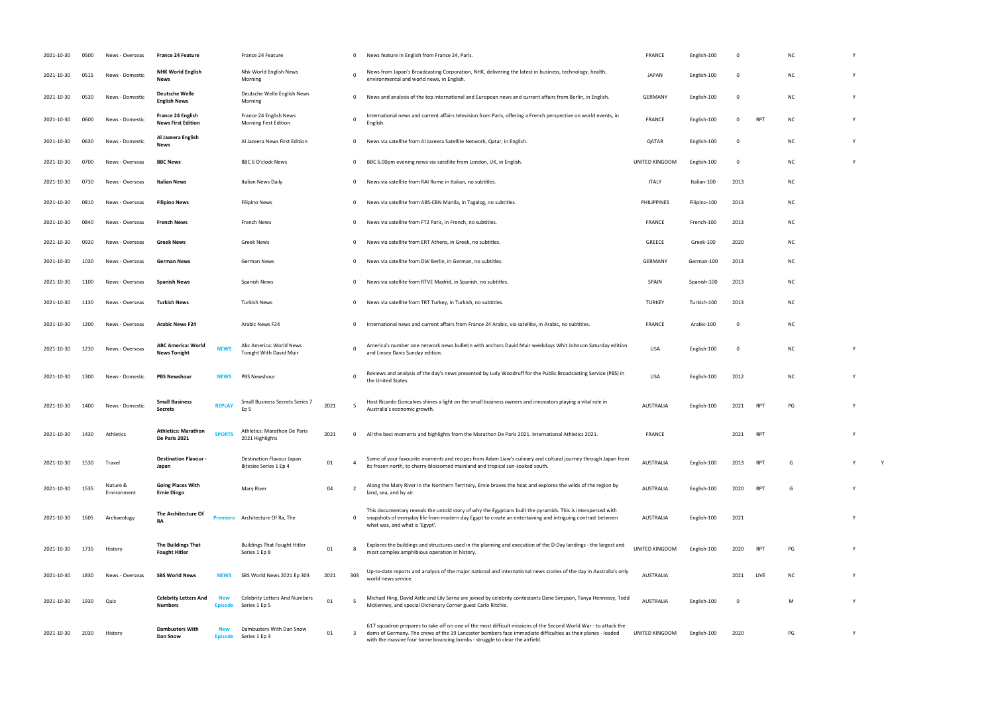| 2021-10-30 | 0500 | News - Overseas         | <b>France 24 Feature</b>                              |                              | France 24 Feature                                      |      | $^{\circ}$  | News feature in English from France 24, Paris.                                                                                                                                                                                                                                                                 | <b>FRANCE</b>    | English-100  | 0        |            | <b>NC</b> |  |
|------------|------|-------------------------|-------------------------------------------------------|------------------------------|--------------------------------------------------------|------|-------------|----------------------------------------------------------------------------------------------------------------------------------------------------------------------------------------------------------------------------------------------------------------------------------------------------------------|------------------|--------------|----------|------------|-----------|--|
| 2021-10-30 | 0515 | News - Domestic         | <b>NHK World English</b><br>News                      |                              | Nhk World English News<br>Morning                      |      | - 0         | News from Japan's Broadcasting Corporation, NHK, delivering the latest in business, technology, health,<br>environmental and world news, in English.                                                                                                                                                           | <b>JAPAN</b>     | English-100  | 0        |            | NC.       |  |
| 2021-10-30 | 0530 | News - Domestic         | <b>Deutsche Welle</b><br><b>English News</b>          |                              | Deutsche Welle English News<br>Morning                 |      | $\mathbf 0$ | News and analysis of the top international and European news and current affairs from Berlin, in English.                                                                                                                                                                                                      | GERMANY          | English-100  | 0        |            | NC.       |  |
| 2021-10-30 | 0600 | News - Domestic         | <b>France 24 English</b><br><b>News First Edition</b> |                              | France 24 English News<br><b>Morning First Edition</b> |      |             | International news and current affairs television from Paris, offering a French perspective on world events, in<br>English.                                                                                                                                                                                    | <b>FRANCE</b>    | English-100  | $\Omega$ | <b>RPT</b> | NC.       |  |
| 2021-10-30 | 0630 | News - Domestic         | Al Jazeera English<br>News                            |                              | Al Jazeera News First Edition                          |      | $^{\circ}$  | News via satellite from Al Jazeera Satellite Network, Qatar, in English.                                                                                                                                                                                                                                       | QATAR            | English-100  | $\Omega$ |            | NC.       |  |
| 2021-10-30 | 0700 | News - Overseas         | <b>BBC News</b>                                       |                              | BBC 6 O'clock News                                     |      | $^{\circ}$  | BBC 6.00pm evening news via satellite from London, UK, in English.                                                                                                                                                                                                                                             | UNITED KINGDOM   | English-100  | 0        |            | NC.       |  |
| 2021-10-30 | 0730 | News - Overseas         | <b>Italian News</b>                                   |                              | Italian News Daily                                     |      | $^{\circ}$  | News via satellite from RAI Rome in Italian, no subtitles.                                                                                                                                                                                                                                                     | <b>ITALY</b>     | Italian-100  | 2013     |            | NC.       |  |
| 2021-10-30 | 0810 | News - Overseas         | <b>Filipino News</b>                                  |                              | Filipino News                                          |      | $\mathbf 0$ | News via satellite from ABS-CBN Manila, in Tagalog, no subtitles.                                                                                                                                                                                                                                              | PHILIPPINES      | Filipino-100 | 2013     |            | NC.       |  |
| 2021-10-30 | 0840 | News - Overseas         | <b>French News</b>                                    |                              | French News                                            |      | $\mathbf 0$ | News via satellite from FT2 Paris, in French, no subtitles.                                                                                                                                                                                                                                                    | <b>FRANCE</b>    | French-100   | 2013     |            | NC.       |  |
| 2021-10-30 | 0930 | News - Overseas         | <b>Greek News</b>                                     |                              | Greek News                                             |      | $^{\circ}$  | News via satellite from ERT Athens, in Greek, no subtitles.                                                                                                                                                                                                                                                    | GREECE           | Greek-100    | 2020     |            | NC.       |  |
| 2021-10-30 | 1030 | News - Overseas         | German News                                           |                              | German News                                            |      | $^{\circ}$  | News via satellite from DW Berlin, in German, no subtitles.                                                                                                                                                                                                                                                    | <b>GERMANY</b>   | German-100   | 2013     |            | NC.       |  |
| 2021-10-30 | 1100 | News - Overseas         | <b>Spanish News</b>                                   |                              | Spanish News                                           |      | $\mathbf 0$ | News via satellite from RTVE Madrid, in Spanish, no subtitles                                                                                                                                                                                                                                                  | <b>SPAIN</b>     | Spanish-100  | 2013     |            | NC.       |  |
| 2021-10-30 | 1130 | News - Overseas         | <b>Turkish News</b>                                   |                              | Turkish News                                           |      | $\mathbf 0$ | News via satellite from TRT Turkey, in Turkish, no subtitles.                                                                                                                                                                                                                                                  | <b>TURKEY</b>    | Turkish-100  | 2013     |            | NC.       |  |
| 2021-10-30 | 1200 | News - Overseas         | <b>Arabic News F24</b>                                |                              | Arabic News F24                                        |      | $^{\circ}$  | International news and current affairs from France 24 Arabic, via satellite, in Arabic, no subtitles.                                                                                                                                                                                                          | <b>FRANCE</b>    | Arabic-100   | 0        |            | NC.       |  |
| 2021-10-30 | 1230 | News - Overseas         | <b>ABC America: World</b><br><b>News Tonight</b>      | <b>NEWS</b>                  | Abc America: World News<br>Tonight With David Muir     |      | - 0         | America's number one network news bulletin with anchors David Muir weekdays Whit Johnson Saturday edition<br>and Linsey Davis Sunday edition.                                                                                                                                                                  | <b>USA</b>       | English-100  | 0        |            | NC.       |  |
| 2021-10-30 | 1300 | News - Domestic         | <b>PBS Newshour</b>                                   | <b>NEWS</b>                  | PBS Newshour                                           |      | - 0         | Reviews and analysis of the day's news presented by Judy Woodruff for the Public Broadcasting Service (PBS) in<br>the United States.                                                                                                                                                                           | <b>USA</b>       | English-100  | 2012     |            | NC.       |  |
| 2021-10-30 | 1400 | News - Domestic         | <b>Small Business</b><br><b>Secrets</b>               | <b>REPLAY</b>                | Small Business Secrets Series 7<br>Ep 5                | 2021 | - 5         | Host Ricardo Goncalves shines a light on the small business owners and innovators playing a vital role in<br>Australia's economic growth.                                                                                                                                                                      | AUSTRALIA        | English-100  | 2021     | <b>RPT</b> | PG        |  |
| 2021-10-30 | 1430 | Athletics               | <b>Athletics: Marathon</b><br>De Paris 2021           | <b>SPORTS</b>                | Athletics: Marathon De Paris<br>2021 Highlights        | 2021 | $\Omega$    | All the best moments and highlights from the Marathon De Paris 2021. International Athletics 2021.                                                                                                                                                                                                             | <b>FRANCE</b>    |              | 2021     | <b>RPT</b> |           |  |
| 2021-10-30 | 1530 | Travel                  | <b>Destination Flavour -</b><br>Japan                 |                              | Destination Flavour Japan<br>Bitesize Series 1 Ep 4    | 01   |             | Some of your favourite moments and recipes from Adam Liaw's culinary and cultural journey through Japan from<br>its frozen north, to cherry-blossomed mainland and tropical sun-soaked south.                                                                                                                  | <b>AUSTRALIA</b> | English-100  | 2013     | <b>RPT</b> | G         |  |
| 2021-10-30 | 1535 | Nature &<br>Environment | <b>Going Places With</b><br><b>Ernie Dingo</b>        |                              | Mary River                                             | 04   |             | Along the Mary River in the Northern Territory, Ernie braves the heat and explores the wilds of the region by<br>land, sea, and by air.                                                                                                                                                                        | <b>AUSTRALIA</b> | English-100  | 2020     | <b>RPT</b> | G         |  |
| 2021-10-30 | 1605 | Archaeology             | The Architecture Of<br><b>RA</b>                      |                              | Architecture Of Ra, The                                |      | $^{\circ}$  | This documentary reveals the untold story of why the Egyptians built the pyramids. This is interspersed with<br>snapshots of everyday life from modern day Egypt to create an entertaining and intriguing contrast between<br>what was, and what is 'Egypt'.                                                   | AUSTRALIA        | English-100  | 2021     |            |           |  |
| 2021-10-30 | 1735 | History                 | The Buildings That<br><b>Fought Hitler</b>            |                              | <b>Buildings That Fought Hitler</b><br>Series 1 Ep 8   | 01   |             | Explores the buildings and structures used in the planning and execution of the D-Day landings - the largest and<br>most complex amphibious operation in history.                                                                                                                                              | UNITED KINGDOM   | English-100  | 2020     | <b>RPT</b> | PG        |  |
| 2021-10-30 | 1830 | News - Overseas         | <b>SBS World News</b>                                 | <b>NEWS</b>                  | SBS World News 2021 Ep 303                             | 2021 | 303         | Up-to-date reports and analysis of the major national and international news stories of the day in Australia's only<br>world news service.                                                                                                                                                                     | <b>AUSTRALIA</b> |              | 2021     | LIVE       | NC.       |  |
| 2021-10-30 | 1930 | Quiz                    | <b>Celebrity Letters And</b><br><b>Numbers</b>        | <b>New</b><br><b>Episode</b> | Celebrity Letters And Numbers<br>Series 1 Ep 5         | 01   | -5          | Michael Hing, David Astle and Lily Serna are joined by celebrity contestants Dane Simpson, Tanya Hennessy, Todd<br>McKenney, and special Dictionary Corner guest Carlo Ritchie.                                                                                                                                | <b>AUSTRALIA</b> | English-100  | 0        |            | M         |  |
| 2021-10-30 | 2030 | History                 | <b>Dambusters With</b><br>Dan Snow                    | <b>New</b><br><b>Episode</b> | Dambusters With Dan Snow<br>Series 1 Ep 3              | 01   | 3           | 617 squadron prepares to take off on one of the most difficult missions of the Second World War - to attack the<br>dams of Germany. The crews of the 19 Lancaster bombers face immediate difficulties as their planes - loaded<br>with the massive four tonne bouncing bombs - struggle to clear the airfield. | UNITED KINGDOM   | English-100  | 2020     |            | PG        |  |

- 
- environmental and world news, in English. JAPAN English. JAPAN English. JAPAN English. JAPAN English-100 o NC <br>100 NC Y
- 
- 
- -
	-
	-
	-
	-
	-
	-
	-
	- and Linsey Davis Sunday edition. USA English-100 O NC Y the United States. USA English-100 2012 NC Y
- 
- Australia's economic growth. AUSTRALIA English-100 <sup>2021</sup> RPT PG <sup>Y</sup> 2021 Highlights <sup>2021</sup> <sup>0</sup> All the best moments and highlights from the Marathon De Paris 2021. International Athletics 2021. FRANCE <sup>2021</sup> RPT <sup>Y</sup>
- its from the cherry-bloods and tropical sun-soaked south. AUSTRALIA English-100 2013 RPT G Y Y Y Y Y Y Y Y Y Y
- land, sea, and by air. AUSTRALIA English-100 <sup>2020</sup> RPT <sup>G</sup> <sup>Y</sup>
- 
- most complex amples and in history. UNITED KINGDOM ENGLISH-100 2020 RPT PG Y
- world news service. AuSTRALIA 2021 2022 19:30
- McKenney, and special Dictionary Corner guest Carlo Ritchie. AUSTRALIA English-100 <sup>0</sup> <sup>M</sup> <sup>Y</sup>
	- PG Y
- 
- 
- 
- 
- 
- 
- 
- 
- 
- 
- 
- 
- 
- 
- 
-